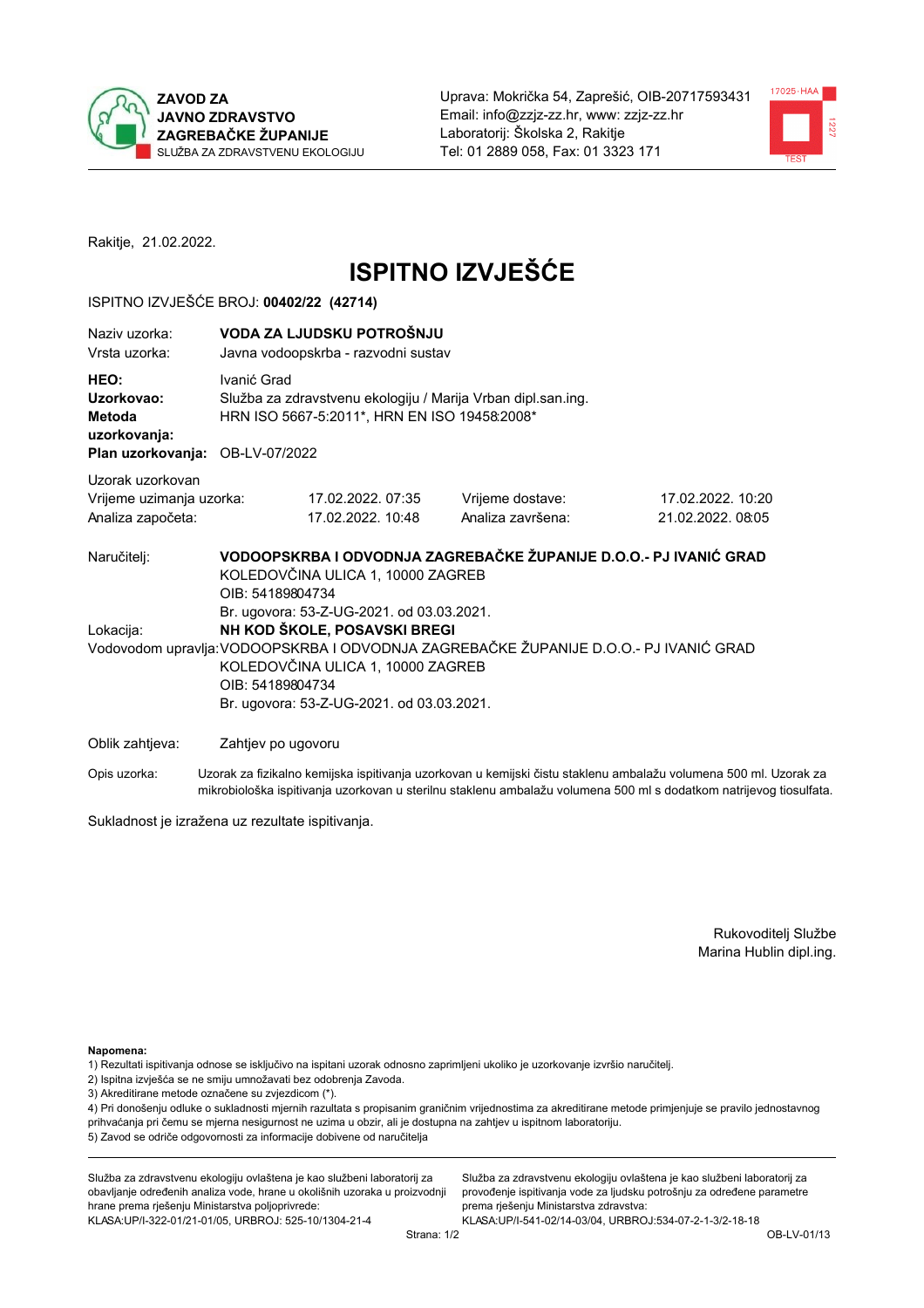



Rakitje, 21.02.2022.

# **ISPITNO IZVJEŠĆE**

## ISPITNO IZVJEŠĆE BROJ: 00402/22 (42714)

| Naziv uzorka:<br>Vrsta uzorka:                                    | VODA ZA LJUDSKU POTROŠNJU<br>Javna vodoopskrba - razvodni sustav                                                                                                                                                                                                         |                                                                                                              |                                                                   |                                       |  |
|-------------------------------------------------------------------|--------------------------------------------------------------------------------------------------------------------------------------------------------------------------------------------------------------------------------------------------------------------------|--------------------------------------------------------------------------------------------------------------|-------------------------------------------------------------------|---------------------------------------|--|
| HEO:<br>Uzorkovao:<br>Metoda<br>uzorkovanja:<br>Plan uzorkovanja: | Ivanić Grad<br>OB-LV-07/2022                                                                                                                                                                                                                                             | Služba za zdravstvenu ekologiju / Marija Vrban dipl.san.ing.<br>HRN ISO 5667-5:2011*, HRN EN ISO 19458:2008* |                                                                   |                                       |  |
| Uzorak uzorkovan<br>Vrijeme uzimanja uzorka:<br>Analiza započeta: |                                                                                                                                                                                                                                                                          | 17.02.2022.07:35<br>17.02.2022. 10:48                                                                        | Vrijeme dostave:<br>Analiza završena:                             | 17.02.2022. 10:20<br>21.02.2022.08:05 |  |
| Naručitelj:                                                       | OIB: 54189804734                                                                                                                                                                                                                                                         | KOLEDOVČINA ULICA 1, 10000 ZAGREB                                                                            | VODOOPSKRBA I ODVODNJA ZAGREBAČKE ŽUPANIJE D.O.O.- PJ IVANIĆ GRAD |                                       |  |
| Lokacija:                                                         | Br. ugovora: 53-Z-UG-2021. od 03.03.2021.<br>NH KOD ŠKOLE, POSAVSKI BREGI<br>Vodovodom upravlja: VODOOPSKRBA I ODVODNJA ZAGREBAČKE ŽUPANIJE D.O.O.- PJ IVANIĆ GRAD<br>KOLEDOVČINA ULICA 1, 10000 ZAGREB<br>OIB: 54189804734<br>Br. ugovora: 53-Z-UG-2021. od 03.03.2021. |                                                                                                              |                                                                   |                                       |  |
| Oblik zahtjeva:                                                   | Zahtjev po ugovoru                                                                                                                                                                                                                                                       |                                                                                                              |                                                                   |                                       |  |

Opis uzorka: Uzorak za fizikalno kemijska ispitivanja uzorkovan u kemijski čistu staklenu ambalažu volumena 500 ml. Uzorak za mikrobiološka ispitivanja uzorkovan u sterilnu staklenu ambalažu volumena 500 ml s dodatkom natrijevog tiosulfata.

Sukladnost je izražena uz rezultate ispitivanja.

Rukovoditelj Službe Marina Hublin dipl.ing.

Napomena:

- 1) Rezultati ispitivanja odnose se isključivo na ispitani uzorak odnosno zaprimljeni ukoliko je uzorkovanje izvršio naručitelj.
- 2) Ispitna izvješća se ne smiju umnožavati bez odobrenja Zavoda.
- 3) Akreditirane metode označene su zvjezdicom (\*).

4) Pri donošenju odluke o sukladnosti mjernih razultata s propisanim graničnim vrijednostima za akreditirane metode primjenjuje se pravilo jednostavnog prihvaćanja pri čemu se mjerna nesigurnost ne uzima u obzir, ali je dostupna na zahtjev u ispitnom laboratoriju. 5) Zavod se odriče odgovornosti za informacije dobivene od naručitelja

Služba za zdravstvenu ekologiju ovlaštena je kao službeni laboratorij za obavljanje određenih analiza vode, hrane u okolišnih uzoraka u proizvodnji hrane prema rješenju Ministarstva poljoprivrede: KLASA: UP/I-322-01/21-01/05, URBROJ: 525-10/1304-21-4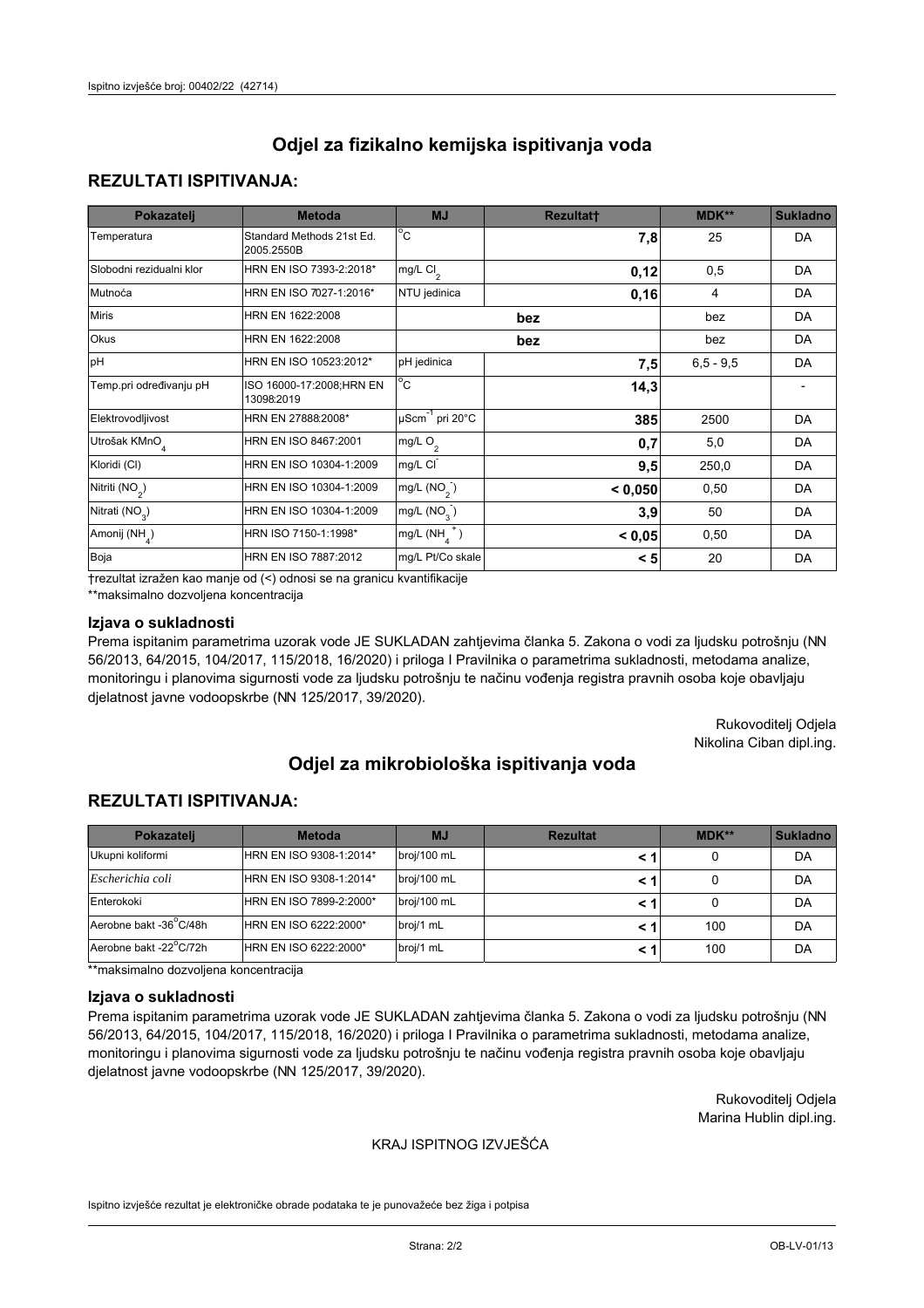## **REZULTATI ISPITIVANJA:**

| Pokazatelj                 | <b>Metoda</b>                           | <b>MJ</b>                        | <b>Rezultatt</b> | <b>MDK**</b> | <b>Sukladno</b> |
|----------------------------|-----------------------------------------|----------------------------------|------------------|--------------|-----------------|
| Temperatura                | Standard Methods 21st Ed.<br>2005.2550B | $^{\circ}$ C                     | 7,8              | 25           | <b>DA</b>       |
| Slobodni rezidualni klor   | HRN EN ISO 7393-2:2018*                 | mg/L $Cl_2$                      | 0,12             | 0,5          | DA              |
| Mutnoća                    | HRN EN ISO 7027-1:2016*                 | NTU jedinica                     | 0, 16            | 4            | DA              |
| <b>Miris</b>               | HRN EN 1622:2008                        |                                  | bez              | bez          | <b>DA</b>       |
| Okus                       | HRN EN 1622:2008                        |                                  | bez              | bez          | <b>DA</b>       |
| pH                         | HRN EN ISO 10523:2012*                  | pH jedinica                      | 7,5              | $6,5 - 9,5$  | <b>DA</b>       |
| Temp.pri određivanju pH    | ISO 16000-17:2008;HRN EN<br>13098:2019  | $^{\circ}$ C                     | 14,3             |              |                 |
| Elektrovodljivost          | HRN EN 27888:2008*                      | $\mu$ Scm <sup>-1</sup> pri 20°C | 385              | 2500         | DA              |
| Utrošak KMnO <sub>4</sub>  | HRN EN ISO 8467:2001                    | mg/L O <sub>2</sub>              | 0,7              | 5,0          | <b>DA</b>       |
| Kloridi (CI)               | HRN EN ISO 10304-1:2009                 | mg/L CI                          | 9,5              | 250,0        | <b>DA</b>       |
| Nitriti (NO <sub>2</sub> ) | HRN EN ISO 10304-1:2009                 | mg/L $(NO2)$                     | < 0,050          | 0,50         | DA              |
| Nitrati (NO <sub>3</sub> ) | HRN EN ISO 10304-1:2009                 | mg/L (NO <sub>3</sub> )          | 3,9              | 50           | <b>DA</b>       |
| Amonij (NH <sub>4</sub> )  | HRN ISO 7150-1:1998*                    | mg/L $(NH_a^+)$                  | < 0,05           | 0,50         | DA              |
| Boja                       | HRN EN ISO 7887:2012                    | mg/L Pt/Co skale                 | < 5              | 20           | DA              |

†rezultat izražen kao manje od (<) odnosi se na granicu kvantifikacije

\*\*maksimalno dozvoljena koncentracija

#### Izjava o sukladnosti

Prema ispitanim parametrima uzorak vode JE SUKLADAN zahtievima članka 5. Zakona o vodi za ljudsku potrošnju (NN 56/2013, 64/2015, 104/2017, 115/2018, 16/2020) i priloga I Pravilnika o parametrima sukladnosti, metodama analize, monitoringu i planovima sigurnosti vode za ljudsku potrošnju te načinu vođenja registra pravnih osoba koje obavljaju djelatnost javne vodoopskrbe (NN 125/2017, 39/2020).

> Rukovoditelj Odjela Nikolina Ciban dipl.ing.

# Odjel za mikrobiološka ispitivanja voda

## **REZULTATI ISPITIVANJA:**

| Pokazatelj             | <b>Metoda</b>           | <b>MJ</b>   | <b>Rezultat</b> | $MDK**$ | <b>Sukladno</b> |
|------------------------|-------------------------|-------------|-----------------|---------|-----------------|
| Ukupni koliformi       | HRN EN ISO 9308-1:2014* | broj/100 mL |                 | 0       | DA              |
| Escherichia coli       | HRN EN ISO 9308-1:2014* | broj/100 mL |                 | 0       | DA              |
| Enterokoki             | HRN EN ISO 7899-2:2000* | broj/100 mL | < 1             | 0       | DA              |
| Aerobne bakt -36 C/48h | HRN EN ISO 6222:2000*   | broj/1 mL   |                 | 100     | DA              |
| Aerobne bakt -22°C/72h | HRN EN ISO 6222:2000*   | broj/1 mL   |                 | 100     | DA              |

\*\*maksimalno dozvoljena koncentracija

#### Izjava o sukladnosti

Prema ispitanim parametrima uzorak vode JE SUKLADAN zahtievima članka 5. Zakona o vodi za ljudsku potrošnju (NN 56/2013, 64/2015, 104/2017, 115/2018, 16/2020) i priloga I Pravilnika o parametrima sukladnosti, metodama analize, monitoringu i planovima sigurnosti vode za ljudsku potrošnju te načinu vođenja registra pravnih osoba koje obavljaju djelatnost javne vodoopskrbe (NN 125/2017, 39/2020).

> Rukovoditeli Odiela Marina Hublin dipl.ing.

### KRAJ ISPITNOG IZVJEŠĆA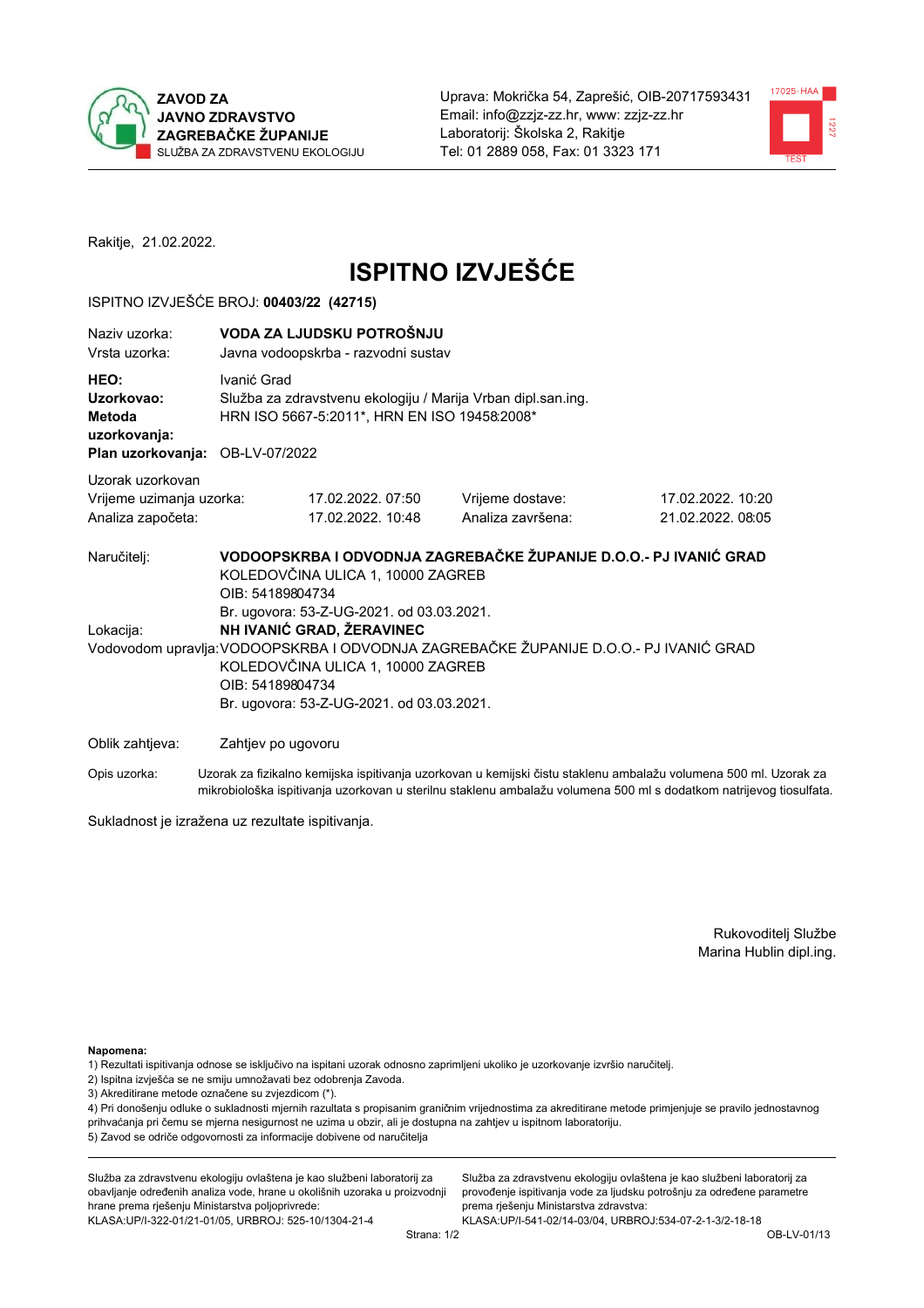



Rakitje, 21.02.2022.

# **ISPITNO IZVJEŠĆE**

## ISPITNO IZVJEŠĆE BROJ: 00403/22 (42715)

| Naziy uzorka:<br>Vrsta uzorka:                                                  |                    | VODA ZA LJUDSKU POTROŠNJU<br>Javna vodoopskrba - razvodni sustav                                                            |                                                                                       |                                                                                                                  |  |  |
|---------------------------------------------------------------------------------|--------------------|-----------------------------------------------------------------------------------------------------------------------------|---------------------------------------------------------------------------------------|------------------------------------------------------------------------------------------------------------------|--|--|
| HEO:<br>Uzorkovao:<br>Metoda<br>uzorkovanja:<br>Plan uzorkovanja: OB-LV-07/2022 |                    | Ivanić Grad<br>Služba za zdravstvenu ekologiju / Marija Vrban dipl.san.ing.<br>HRN ISO 5667-5:2011*, HRN EN ISO 19458:2008* |                                                                                       |                                                                                                                  |  |  |
| Uzorak uzorkovan                                                                |                    |                                                                                                                             |                                                                                       |                                                                                                                  |  |  |
| Vrijeme uzimanja uzorka:                                                        |                    | 17.02.2022.07:50                                                                                                            | Vrijeme dostave:                                                                      | 17.02.2022. 10:20                                                                                                |  |  |
| Analiza započeta:                                                               |                    | 17.02.2022. 10:48                                                                                                           | Analiza završena:                                                                     | 21.02.2022.08:05                                                                                                 |  |  |
| Naručitelj:                                                                     | OIB: 54189804734   | KOLEDOVČINA ULICA 1, 10000 ZAGREB<br>Br. ugovora: 53-Z-UG-2021. od 03.03.2021.                                              | VODOOPSKRBA I ODVODNJA ZAGREBAČKE ŽUPANIJE D.O.O.- PJ IVANIĆ GRAD                     |                                                                                                                  |  |  |
| Lokacija:                                                                       |                    | NH IVANIĆ GRAD, ŽERAVINEC                                                                                                   |                                                                                       |                                                                                                                  |  |  |
|                                                                                 | OIB: 54189804734   | KOLEDOVČINA ULICA 1, 10000 ZAGREB<br>Br. ugovora: 53-Z-UG-2021. od 03.03.2021.                                              | Vodovodom upravlja: VODOOPSKRBA I ODVODNJA ZAGREBAČKE ŽUPANIJE D.O.O.- PJ IVANIĆ GRAD |                                                                                                                  |  |  |
|                                                                                 |                    |                                                                                                                             |                                                                                       |                                                                                                                  |  |  |
| Oblik zahtjeva:                                                                 | Zahtjev po ugovoru |                                                                                                                             |                                                                                       |                                                                                                                  |  |  |
| Opis uzorka:                                                                    |                    |                                                                                                                             |                                                                                       | Uzorak za fizikalno kemijska ispitivanja uzorkovan u kemijski čistu staklenu ambalažu volumena 500 ml. Uzorak za |  |  |

mikrobiološka ispitivanja uzorkovan u sterilnu staklenu ambalažu volumena 500 ml s dodatkom natrijevog tiosulfata.

Sukladnost je izražena uz rezultate ispitivanja.

Rukovoditelj Službe Marina Hublin dipl.ing.

Napomena:

- 1) Rezultati ispitivanja odnose se isključivo na ispitani uzorak odnosno zaprimljeni ukoliko je uzorkovanje izvršio naručitelj.
- 2) Ispitna izvješća se ne smiju umnožavati bez odobrenja Zavoda.
- 3) Akreditirane metode označene su zvjezdicom (\*).

4) Pri donošenju odluke o sukladnosti mjernih razultata s propisanim graničnim vrijednostima za akreditirane metode primjenjuje se pravilo jednostavnog prihvaćanja pri čemu se mjerna nesigurnost ne uzima u obzir, ali je dostupna na zahtjev u ispitnom laboratoriju. 5) Zavod se odriče odgovornosti za informacije dobivene od naručitelja

Služba za zdravstvenu ekologiju ovlaštena je kao službeni laboratorij za obavljanje određenih analiza vode, hrane u okolišnih uzoraka u proizvodnji hrane prema rješenju Ministarstva poljoprivrede: KLASA.UP/I-322-01/21-01/05, URBROJ: 525-10/1304-21-4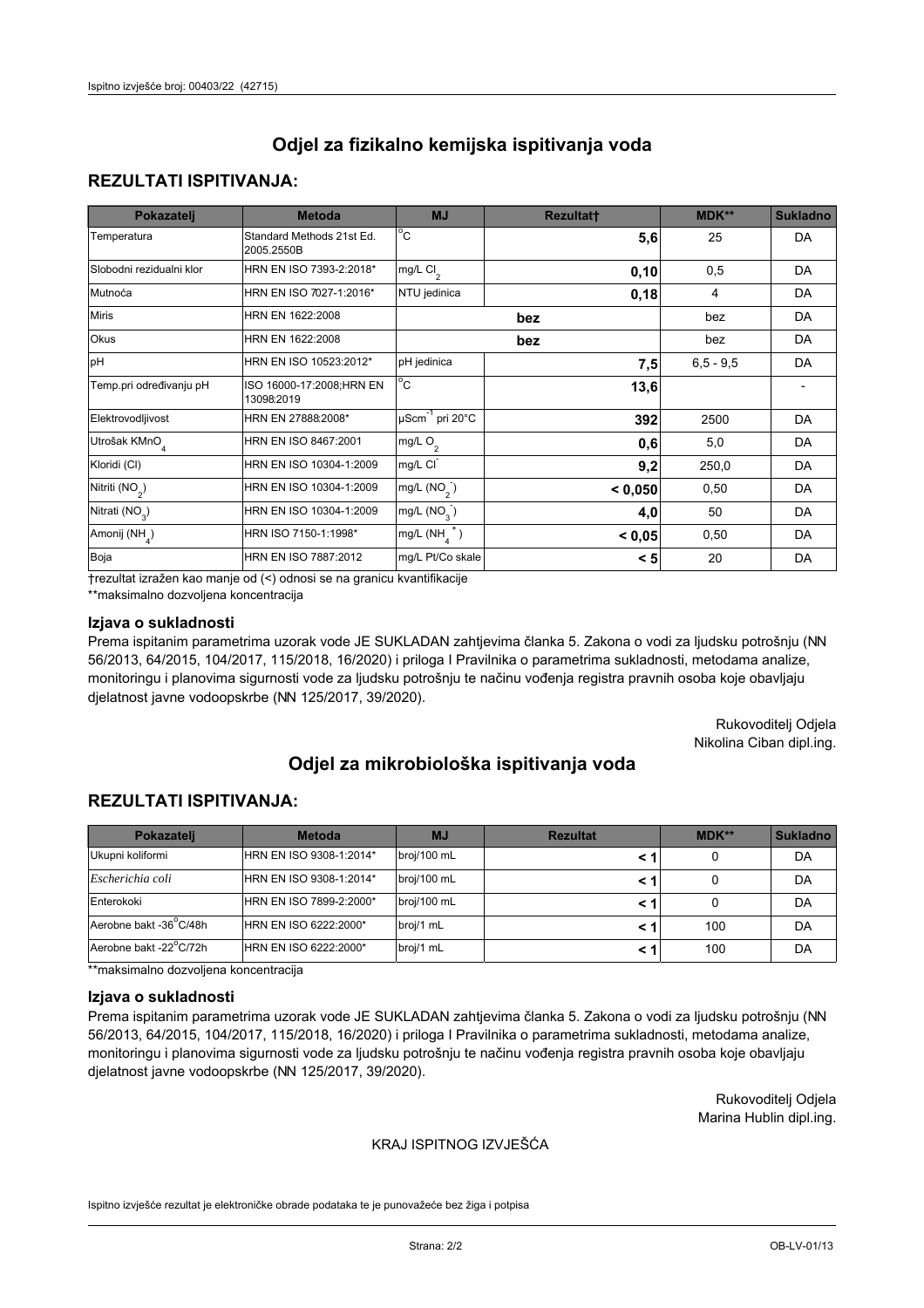## **REZULTATI ISPITIVANJA:**

| Pokazatelj                 | <b>Metoda</b>                           | <b>MJ</b>                        | <b>Rezultatt</b> | <b>MDK**</b> | <b>Sukladno</b> |
|----------------------------|-----------------------------------------|----------------------------------|------------------|--------------|-----------------|
| Temperatura                | Standard Methods 21st Ed.<br>2005.2550B | $^{\circ}$ C                     | 5,6              | 25           | <b>DA</b>       |
| Slobodni rezidualni klor   | HRN EN ISO 7393-2:2018*                 | mg/L $Cl_2$                      | 0, 10            | 0,5          | DA              |
| Mutnoća                    | HRN EN ISO 7027-1:2016*                 | NTU jedinica                     | 0,18             | 4            | DA              |
| <b>Miris</b>               | HRN EN 1622:2008                        |                                  | bez              | bez          | <b>DA</b>       |
| Okus                       | HRN EN 1622:2008                        |                                  | bez              | bez          | <b>DA</b>       |
| pH                         | HRN EN ISO 10523:2012*                  | pH jedinica                      | 7,5              | $6,5 - 9,5$  | <b>DA</b>       |
| Temp.pri određivanju pH    | ISO 16000-17:2008;HRN EN<br>13098:2019  | $^{\circ}$ C                     | 13,6             |              |                 |
| Elektrovodljivost          | HRN EN 27888:2008*                      | $\mu$ Scm <sup>-1</sup> pri 20°C | 392              | 2500         | DA              |
| Utrošak KMnO <sub>4</sub>  | HRN EN ISO 8467:2001                    | mg/L O <sub>2</sub>              | 0,6              | 5,0          | <b>DA</b>       |
| Kloridi (CI)               | HRN EN ISO 10304-1:2009                 | mg/L CI                          | 9,2              | 250,0        | <b>DA</b>       |
| Nitriti (NO <sub>2</sub> ) | HRN EN ISO 10304-1:2009                 | mg/L $(NO2)$                     | < 0,050          | 0,50         | DA              |
| Nitrati (NO <sub>3</sub> ) | HRN EN ISO 10304-1:2009                 | mg/L (NO <sub>3</sub> )          | 4,0              | 50           | <b>DA</b>       |
| Amonij (NH <sub>4</sub> )  | HRN ISO 7150-1:1998*                    | mg/L $(NH_a^+)$                  | < 0,05           | 0,50         | <b>DA</b>       |
| Boja                       | HRN EN ISO 7887:2012                    | mg/L Pt/Co skale                 | < 5              | 20           | DA              |

†rezultat izražen kao manje od (<) odnosi se na granicu kvantifikacije

\*\*maksimalno dozvoljena koncentracija

#### Izjava o sukladnosti

Prema ispitanim parametrima uzorak vode JE SUKLADAN zahtievima članka 5. Zakona o vodi za ljudsku potrošnju (NN 56/2013, 64/2015, 104/2017, 115/2018, 16/2020) i priloga I Pravilnika o parametrima sukladnosti, metodama analize, monitoringu i planovima sigurnosti vode za ljudsku potrošnju te načinu vođenja registra pravnih osoba koje obavljaju djelatnost javne vodoopskrbe (NN 125/2017, 39/2020).

> Rukovoditelj Odjela Nikolina Ciban dipl.ing.

# Odjel za mikrobiološka ispitivanja voda

## **REZULTATI ISPITIVANJA:**

| Pokazatelj             | <b>Metoda</b>           | <b>MJ</b>   | <b>Rezultat</b> | MDK** | <b>Sukladno</b> |
|------------------------|-------------------------|-------------|-----------------|-------|-----------------|
| Ukupni koliformi       | HRN EN ISO 9308-1:2014* | broj/100 mL |                 | 0     | DA              |
| Escherichia coli       | HRN EN ISO 9308-1:2014* | broj/100 mL |                 | 0     | DA              |
| Enterokoki             | HRN EN ISO 7899-2:2000* | broj/100 mL | < 1             | 0     | DA              |
| Aerobne bakt -36°C/48h | HRN EN ISO 6222:2000*   | broj/1 mL   |                 | 100   | DA              |
| Aerobne bakt -22°C/72h | HRN EN ISO 6222:2000*   | broj/1 mL   |                 | 100   | DA              |

\*\*maksimalno dozvoljena koncentracija

#### Izjava o sukladnosti

Prema ispitanim parametrima uzorak vode JE SUKLADAN zahtievima članka 5. Zakona o vodi za ljudsku potrošnju (NN 56/2013, 64/2015, 104/2017, 115/2018, 16/2020) i priloga I Pravilnika o parametrima sukladnosti, metodama analize, monitoringu i planovima sigurnosti vode za ljudsku potrošnju te načinu vođenja registra pravnih osoba koje obavljaju djelatnost javne vodoopskrbe (NN 125/2017, 39/2020).

> Rukovoditeli Odiela Marina Hublin dipl.ing.

### KRAJ ISPITNOG IZVJEŠĆA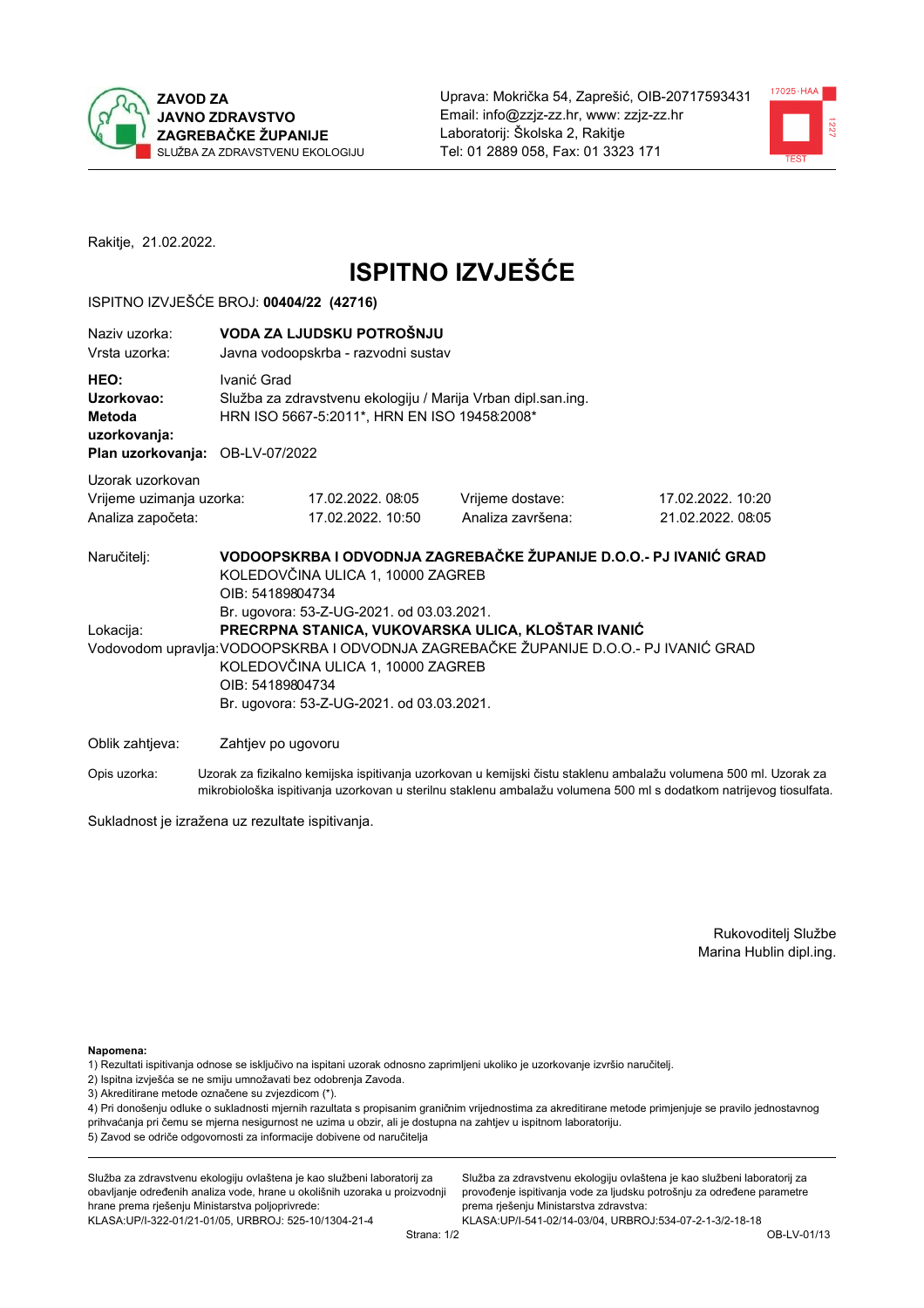



Rakitje, 21.02.2022.

# **ISPITNO IZVJEŠĆE**

## ISPITNO IZVJEŠĆE BROJ: 00404/22 (42716)

| Naziy uzorka:<br>Vrsta uzorka:                                                  | VODA ZA LJUDSKU POTROŠNJU<br>Javna vodoopskrba - razvodni sustav                                                                                                                                                                                                                               |                                                                                                              |                                                                   |                                       |  |  |
|---------------------------------------------------------------------------------|------------------------------------------------------------------------------------------------------------------------------------------------------------------------------------------------------------------------------------------------------------------------------------------------|--------------------------------------------------------------------------------------------------------------|-------------------------------------------------------------------|---------------------------------------|--|--|
| HEO:<br>Uzorkovao:<br>Metoda<br>uzorkovanja:<br>Plan uzorkovanja: OB-LV-07/2022 | Ivanić Grad                                                                                                                                                                                                                                                                                    | Služba za zdravstvenu ekologiju / Marija Vrban dipl.san.ing.<br>HRN ISO 5667-5:2011*, HRN EN ISO 19458:2008* |                                                                   |                                       |  |  |
| Uzorak uzorkovan                                                                |                                                                                                                                                                                                                                                                                                |                                                                                                              |                                                                   |                                       |  |  |
| Vrijeme uzimanja uzorka:<br>Analiza započeta:                                   |                                                                                                                                                                                                                                                                                                | 17.02.2022.08:05<br>17.02.2022. 10:50                                                                        | Vrijeme dostave:<br>Analiza završena:                             | 17.02.2022. 10:20<br>21.02.2022.08:05 |  |  |
| Naručitelj:                                                                     | OIB: 54189804734                                                                                                                                                                                                                                                                               | KOLEDOVČINA ULICA 1, 10000 ZAGREB                                                                            | VODOOPSKRBA I ODVODNJA ZAGREBAČKE ŽUPANIJE D.O.O.- PJ IVANIĆ GRAD |                                       |  |  |
| Lokacija:                                                                       | Br. ugovora: 53-Z-UG-2021. od 03.03.2021.<br>PRECRPNA STANICA, VUKOVARSKA ULICA, KLOŠTAR IVANIĆ<br>Vodovodom upravlja: VODOOPSKRBA I ODVODNJA ZAGREBAČKE ŽUPANIJE D.O.O.- PJ IVANIĆ GRAD<br>KOLEDOVČINA ULICA 1, 10000 ZAGREB<br>OIB: 54189804734<br>Br. ugovora: 53-Z-UG-2021. od 03.03.2021. |                                                                                                              |                                                                   |                                       |  |  |
| Oblik zahtjeva:                                                                 | Zahtjev po ugovoru                                                                                                                                                                                                                                                                             |                                                                                                              |                                                                   |                                       |  |  |
|                                                                                 |                                                                                                                                                                                                                                                                                                |                                                                                                              |                                                                   |                                       |  |  |

Opis uzorka: Uzorak za fizikalno kemijska ispitivanja uzorkovan u kemijski čistu staklenu ambalažu volumena 500 ml. Uzorak za mikrobiološka ispitivanja uzorkovan u sterilnu staklenu ambalažu volumena 500 ml s dodatkom natrijevog tiosulfata.

Sukladnost je izražena uz rezultate ispitivanja.

Rukovoditelj Službe Marina Hublin dipl.ing.

Napomena:

- 1) Rezultati ispitivanja odnose se isključivo na ispitani uzorak odnosno zaprimljeni ukoliko je uzorkovanje izvršio naručitelj.
- 2) Ispitna izvješća se ne smiju umnožavati bez odobrenja Zavoda.
- 3) Akreditirane metode označene su zvjezdicom (\*).

4) Pri donošenju odluke o sukladnosti mjernih razultata s propisanim graničnim vrijednostima za akreditirane metode primjenjuje se pravilo jednostavnog prihvaćanja pri čemu se mjerna nesigurnost ne uzima u obzir, ali je dostupna na zahtjev u ispitnom laboratoriju. 5) Zavod se odriče odgovornosti za informacije dobivene od naručitelja

Služba za zdravstvenu ekologiju ovlaštena je kao službeni laboratorij za obavljanje određenih analiza vode, hrane u okolišnih uzoraka u proizvodnji hrane prema rješenju Ministarstva poljoprivrede: KLASA.UP/I-322-01/21-01/05, URBROJ: 525-10/1304-21-4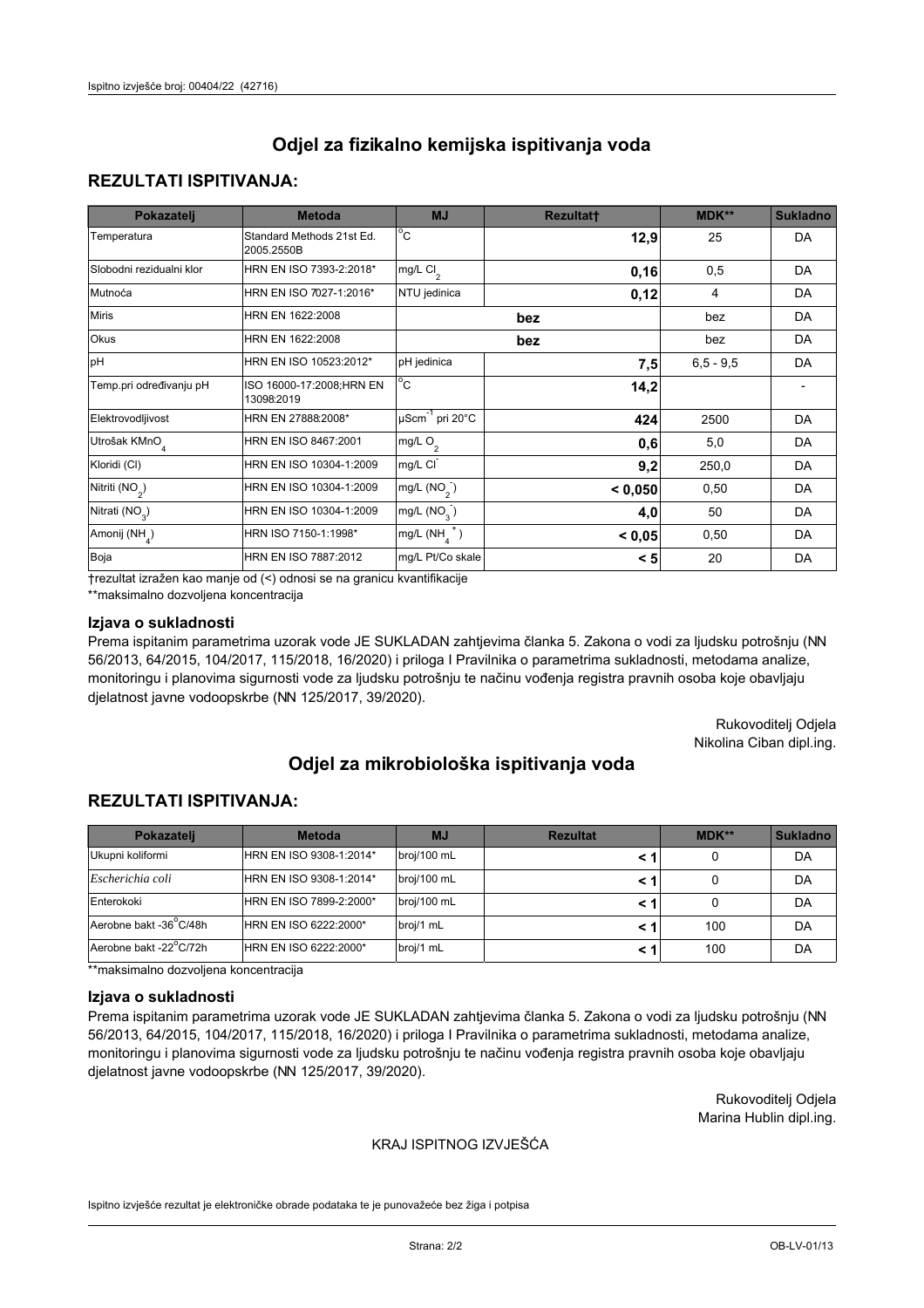## **REZULTATI ISPITIVANJA:**

| Pokazatelj                 | <b>Metoda</b>                           | <b>MJ</b>                        | <b>Rezultatt</b> | <b>MDK**</b> | <b>Sukladno</b> |
|----------------------------|-----------------------------------------|----------------------------------|------------------|--------------|-----------------|
| Temperatura                | Standard Methods 21st Ed.<br>2005.2550B | $^{\circ}$ C                     | 12,9             | 25           | DA              |
| Slobodni rezidualni klor   | HRN EN ISO 7393-2:2018*                 | mg/L $Cl_2$                      | 0, 16            | 0,5          | DA              |
| Mutnoća                    | HRN EN ISO 7027-1:2016*                 | NTU jedinica                     | 0,12             | 4            | DA              |
| <b>Miris</b>               | HRN EN 1622:2008                        |                                  | bez              | bez          | DA              |
| Okus                       | HRN EN 1622:2008                        | bez                              |                  | bez          | DA              |
| pH                         | HRN EN ISO 10523:2012*                  | pH jedinica                      | 7,5              | $6,5 - 9,5$  | DA              |
| Temp.pri određivanju pH    | ISO 16000-17:2008;HRN EN<br>13098:2019  | $^{\circ}$ C                     | 14,2             |              |                 |
| Elektrovodljivost          | HRN EN 27888:2008*                      | $\mu$ Scm <sup>-1</sup> pri 20°C | 424              | 2500         | DA              |
| Utrošak KMnO <sub>4</sub>  | HRN EN ISO 8467:2001                    | mg/L O <sub>2</sub>              | 0,6              | 5,0          | DA              |
| Kloridi (CI)               | HRN EN ISO 10304-1:2009                 | mg/L CI                          | 9,2              | 250,0        | DA              |
| Nitriti (NO <sub>2</sub> ) | HRN EN ISO 10304-1:2009                 | mg/L $(NO2)$                     | < 0,050          | 0,50         | DA              |
| Nitrati (NO <sub>3</sub> ) | HRN EN ISO 10304-1:2009                 | mg/L (NO <sub>3</sub> )          | 4,0              | 50           | DA              |
| Amonij (NH <sub>4</sub> )  | HRN ISO 7150-1:1998*                    | mg/L $(NH_a^+)$                  | < 0,05           | 0,50         | DA              |
| Boja                       | HRN EN ISO 7887:2012                    | mg/L Pt/Co skale                 | < 5              | 20           | DA              |

†rezultat izražen kao manje od (<) odnosi se na granicu kvantifikacije

\*\*maksimalno dozvoljena koncentracija

#### Izjava o sukladnosti

Prema ispitanim parametrima uzorak vode JE SUKLADAN zahtievima članka 5. Zakona o vodi za ljudsku potrošnju (NN 56/2013, 64/2015, 104/2017, 115/2018, 16/2020) i priloga I Pravilnika o parametrima sukladnosti, metodama analize, monitoringu i planovima sigurnosti vode za ljudsku potrošnju te načinu vođenja registra pravnih osoba koje obavljaju djelatnost javne vodoopskrbe (NN 125/2017, 39/2020).

> Rukovoditelj Odjela Nikolina Ciban dipl.ing.

# Odjel za mikrobiološka ispitivanja voda

## **REZULTATI ISPITIVANJA:**

| Pokazatelj             | <b>Metoda</b>           | <b>MJ</b>   | <b>Rezultat</b> | $MDK**$ | <b>Sukladno</b> |
|------------------------|-------------------------|-------------|-----------------|---------|-----------------|
| Ukupni koliformi       | HRN EN ISO 9308-1:2014* | broj/100 mL |                 | 0       | DA              |
| Escherichia coli       | HRN EN ISO 9308-1:2014* | broj/100 mL |                 | 0       | DA              |
| Enterokoki             | HRN EN ISO 7899-2:2000* | broj/100 mL | < 1             | 0       | DA              |
| Aerobne bakt -36 C/48h | HRN EN ISO 6222:2000*   | broj/1 mL   |                 | 100     | DA              |
| Aerobne bakt -22°C/72h | HRN EN ISO 6222:2000*   | broj/1 mL   |                 | 100     | DA              |

\*\*maksimalno dozvoljena koncentracija

#### Izjava o sukladnosti

Prema ispitanim parametrima uzorak vode JE SUKLADAN zahtievima članka 5. Zakona o vodi za ljudsku potrošnju (NN 56/2013, 64/2015, 104/2017, 115/2018, 16/2020) i priloga I Pravilnika o parametrima sukladnosti, metodama analize, monitoringu i planovima sigurnosti vode za ljudsku potrošnju te načinu vođenja registra pravnih osoba koje obavljaju djelatnost javne vodoopskrbe (NN 125/2017, 39/2020).

> Rukovoditeli Odiela Marina Hublin dipl.ing.

### KRAJ ISPITNOG IZVJEŠĆA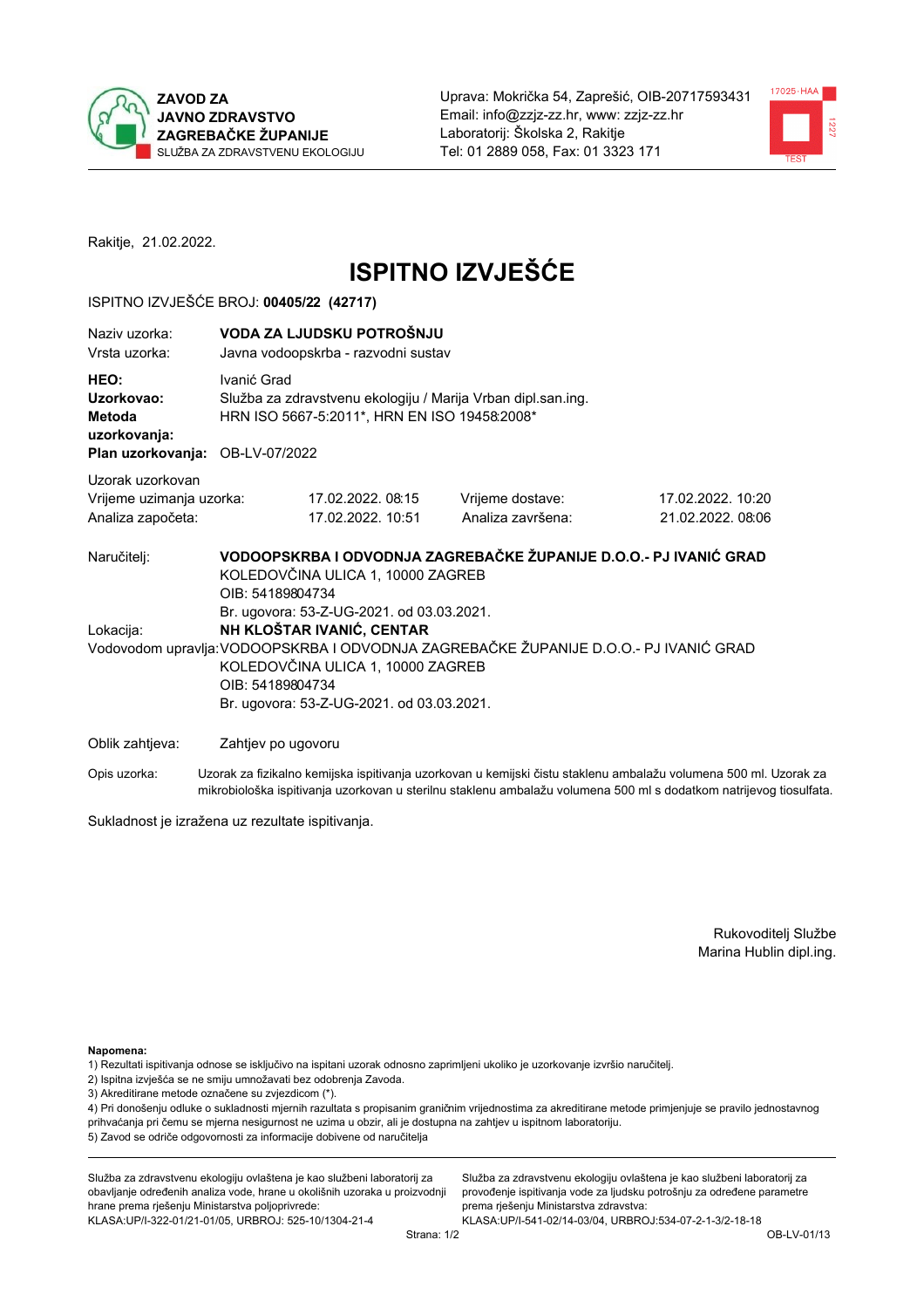



Rakitje, 21.02.2022.

# **ISPITNO IZVJEŠĆE**

## ISPITNO IZVJEŠĆE BROJ: 00405/22 (42717)

| Naziv uzorka:<br>Vrsta uzorka:                                                  |                                      | VODA ZA LJUDSKU POTROŠNJU<br>Javna vodoopskrba - razvodni sustav                                                                                                                              |                                                                                                                                                            |                                       |  |  |
|---------------------------------------------------------------------------------|--------------------------------------|-----------------------------------------------------------------------------------------------------------------------------------------------------------------------------------------------|------------------------------------------------------------------------------------------------------------------------------------------------------------|---------------------------------------|--|--|
| HEO:<br>Uzorkovao:<br>Metoda<br>uzorkovanja:<br>Plan uzorkovanja: OB-LV-07/2022 | Ivanić Grad                          | Služba za zdravstvenu ekologiju / Marija Vrban dipl.san.ing.<br>HRN ISO 5667-5:2011*, HRN EN ISO 19458:2008*                                                                                  |                                                                                                                                                            |                                       |  |  |
| Uzorak uzorkovan<br>Vrijeme uzimanja uzorka:<br>Analiza započeta:               |                                      | 17.02.2022.08.15<br>17.02.2022. 10:51                                                                                                                                                         | Vrijeme dostave:<br>Analiza završena:                                                                                                                      | 17.02.2022. 10:20<br>21.02.2022.08:06 |  |  |
| Naručitelj:<br>Lokacija:                                                        | OIB: 54189804734<br>OIB: 54189804734 | KOLEDOVČINA ULICA 1, 10000 ZAGREB<br>Br. ugovora: 53-Z-UG-2021. od 03.03.2021.<br>NH KLOŠTAR IVANIĆ, CENTAR<br>KOLEDOVČINA ULICA 1, 10000 ZAGREB<br>Br. ugovora: 53-Z-UG-2021. od 03.03.2021. | VODOOPSKRBA I ODVODNJA ZAGREBAČKE ŽUPANIJE D.O.O.- PJ IVANIĆ GRAD<br>Vodovodom upravlja: VODOOPSKRBA I ODVODNJA ZAGREBAČKE ŽUPANIJE D.O.O.- PJ IVANIĆ GRAD |                                       |  |  |
| Oblik zahtjeva:                                                                 | Zahtjev po ugovoru                   |                                                                                                                                                                                               | ra and the state of the state of the state of the state of the state of the state of the state of the state of                                             |                                       |  |  |

Opis uzorka: Uzorak za fizikalno kemijska ispitivanja uzorkovan u kemijski čistu staklenu ambalažu volumena 500 ml. Uzorak za mikrobiološka ispitivanja uzorkovan u sterilnu staklenu ambalažu volumena 500 ml s dodatkom natrijevog tiosulfata.

Sukladnost je izražena uz rezultate ispitivanja.

Rukovoditelj Službe Marina Hublin dipl.ing.

Napomena:

- 1) Rezultati ispitivanja odnose se isključivo na ispitani uzorak odnosno zaprimljeni ukoliko je uzorkovanje izvršio naručitelj.
- 2) Ispitna izvješća se ne smiju umnožavati bez odobrenja Zavoda.
- 3) Akreditirane metode označene su zvjezdicom (\*).

4) Pri donošenju odluke o sukladnosti mjernih razultata s propisanim graničnim vrijednostima za akreditirane metode primjenjuje se pravilo jednostavnog prihvaćanja pri čemu se mjerna nesigurnost ne uzima u obzir, ali je dostupna na zahtjev u ispitnom laboratoriju. 5) Zavod se odriče odgovornosti za informacije dobivene od naručitelja

Služba za zdravstvenu ekologiju ovlaštena je kao službeni laboratorij za obavljanje određenih analiza vode, hrane u okolišnih uzoraka u proizvodnji hrane prema rješenju Ministarstva poljoprivrede: KLASA.UP/I-322-01/21-01/05, URBROJ: 525-10/1304-21-4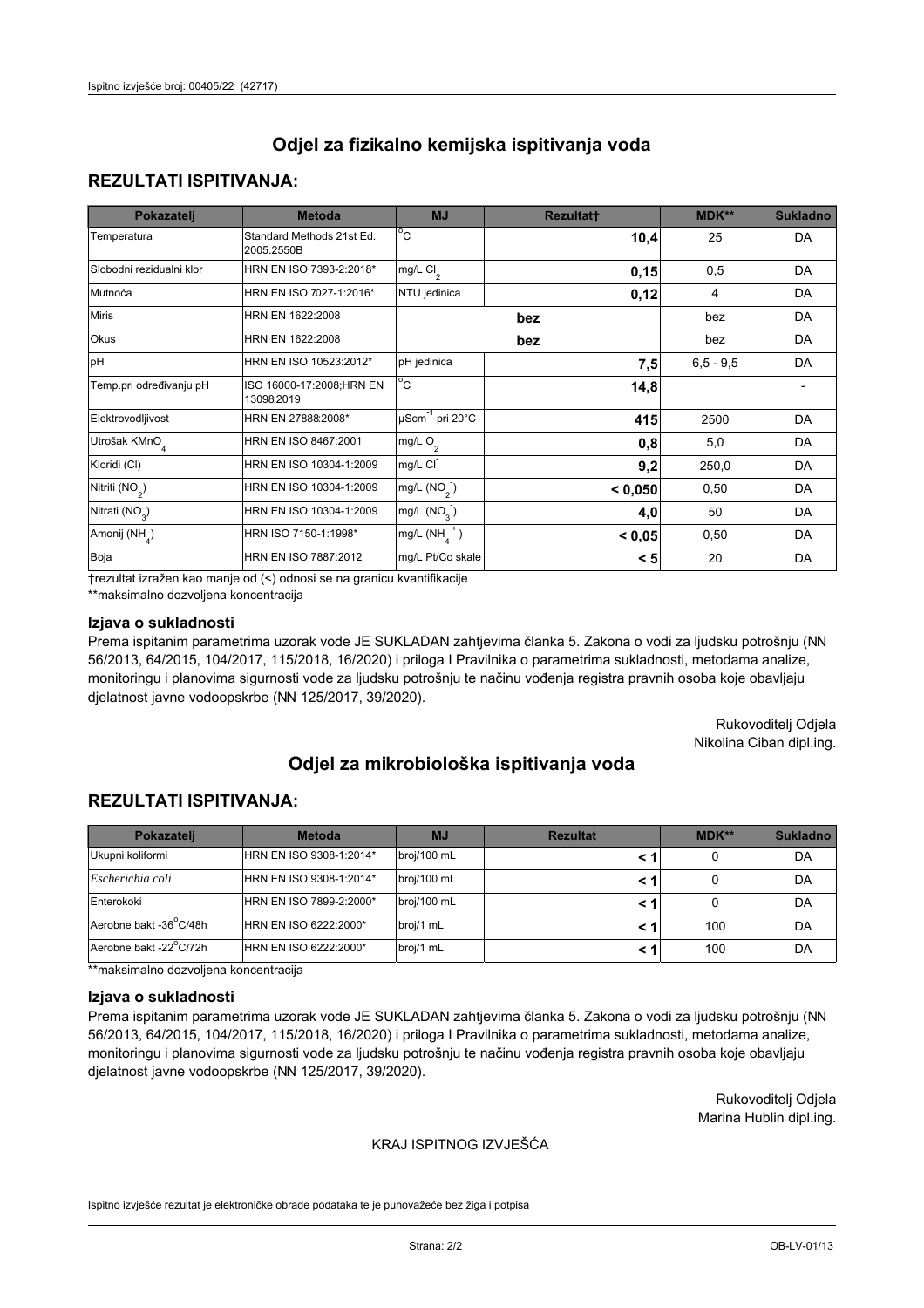## **REZULTATI ISPITIVANJA:**

| Pokazatelj                 | <b>Metoda</b>                           | <b>MJ</b>                                   | <b>Rezultatt</b> | MDK**       | <b>Sukladno</b> |
|----------------------------|-----------------------------------------|---------------------------------------------|------------------|-------------|-----------------|
| Temperatura                | Standard Methods 21st Ed.<br>2005.2550B | $^{\circ}$ C                                | 10,4             | 25          | DA              |
| Slobodni rezidualni klor   | HRN EN ISO 7393-2:2018*                 | mg/L Cl <sub>2</sub>                        | 0,15             | 0,5         | DA              |
| Mutnoća                    | HRN EN ISO 7027-1:2016*                 | NTU jedinica                                | 0,12             | 4           | DA              |
| <b>Miris</b>               | HRN EN 1622:2008                        |                                             | bez              | bez         | DA              |
| Okus                       | HRN EN 1622:2008                        |                                             | bez              | bez         | DA              |
| pH                         | HRN EN ISO 10523:2012*                  | pH jedinica                                 | 7,5              | $6,5 - 9,5$ | DA              |
| Temp.pri određivanju pH    | ISO 16000-17:2008;HRN EN<br>13098:2019  | $^{\circ}$ C                                | 14,8             |             |                 |
| Elektrovodljivost          | HRN EN 27888:2008*                      | $\overline{\mu}$ Scm <sup>-1</sup> pri 20°C | 415              | 2500        | DA              |
| Utrošak KMnO <sub>4</sub>  | HRN EN ISO 8467:2001                    | mg/L $O2$                                   | 0,8              | 5,0         | DA              |
| Kloridi (CI)               | HRN EN ISO 10304-1:2009                 | mg/L CI                                     | 9,2              | 250,0       | DA              |
| Nitriti (NO <sub>2</sub> ) | HRN EN ISO 10304-1:2009                 | mg/L $(NO2)$                                | < 0,050          | 0,50        | DA              |
| Nitrati (NO <sub>3</sub> ) | HRN EN ISO 10304-1:2009                 | mg/L $(NO3)$                                | 4,0              | 50          | DA              |
| Amonij (NH <sub>4</sub> )  | HRN ISO 7150-1:1998*                    | mg/L $(NH_a^+)$                             | < 0,05           | 0,50        | DA              |
| Boja                       | <b>HRN EN ISO 7887:2012</b>             | mg/L Pt/Co skale                            | < 5              | 20          | DA              |

†rezultat izražen kao manje od (<) odnosi se na granicu kvantifikacije

\*\*maksimalno dozvoljena koncentracija

#### Izjava o sukladnosti

Prema ispitanim parametrima uzorak vode JE SUKLADAN zahtievima članka 5. Zakona o vodi za ljudsku potrošnju (NN 56/2013, 64/2015, 104/2017, 115/2018, 16/2020) i priloga I Pravilnika o parametrima sukladnosti, metodama analize, monitoringu i planovima sigurnosti vode za ljudsku potrošnju te načinu vođenja registra pravnih osoba koje obavljaju djelatnost javne vodoopskrbe (NN 125/2017, 39/2020).

> Rukovoditelj Odjela Nikolina Ciban dipl.ing.

# Odjel za mikrobiološka ispitivanja voda

## **REZULTATI ISPITIVANJA:**

| Pokazatelj             | <b>Metoda</b>           | <b>MJ</b>   | <b>Rezultat</b> | $MDK**$ | <b>Sukladno</b> |
|------------------------|-------------------------|-------------|-----------------|---------|-----------------|
| Ukupni koliformi       | HRN EN ISO 9308-1:2014* | broj/100 mL |                 | 0       | DA              |
| Escherichia coli       | HRN EN ISO 9308-1:2014* | broj/100 mL |                 | 0       | DA              |
| Enterokoki             | HRN EN ISO 7899-2:2000* | broj/100 mL | < 1             | 0       | DA              |
| Aerobne bakt -36 C/48h | HRN EN ISO 6222:2000*   | broj/1 mL   |                 | 100     | DA              |
| Aerobne bakt -22°C/72h | HRN EN ISO 6222:2000*   | broj/1 mL   |                 | 100     | DA              |

\*\*maksimalno dozvoljena koncentracija

#### Izjava o sukladnosti

Prema ispitanim parametrima uzorak vode JE SUKLADAN zahtievima članka 5. Zakona o vodi za ljudsku potrošnju (NN 56/2013, 64/2015, 104/2017, 115/2018, 16/2020) i priloga I Pravilnika o parametrima sukladnosti, metodama analize, monitoringu i planovima sigurnosti vode za ljudsku potrošnju te načinu vođenja registra pravnih osoba koje obavljaju djelatnost javne vodoopskrbe (NN 125/2017, 39/2020).

> Rukovoditeli Odiela Marina Hublin dipl.ing.

### KRAJ ISPITNOG IZVJEŠĆA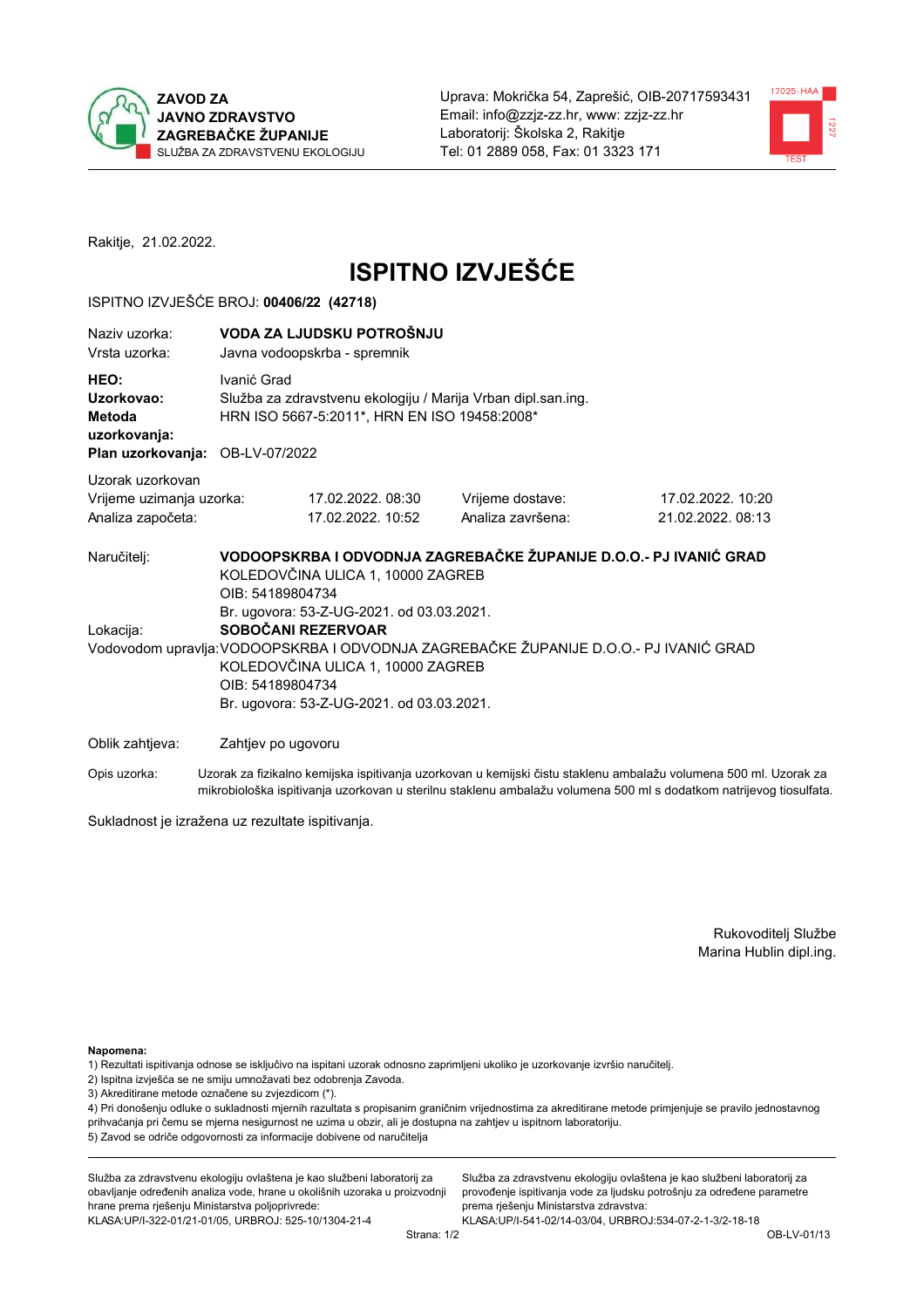



Rakitje, 21.02.2022.

# **ISPITNO IZVJEŠĆE**

## ISPITNO IZVJEŠĆE BROJ: 00406/22 (42718)

| Naziv uzorka:<br>Vrsta uzorka:                                                  | VODA ZA LJUDSKU POTROŠNJU<br>Javna vodoopskrba - spremnik                                                                                                                                                                      |                                                                                                                                                            |                                                                                                                  |  |  |  |
|---------------------------------------------------------------------------------|--------------------------------------------------------------------------------------------------------------------------------------------------------------------------------------------------------------------------------|------------------------------------------------------------------------------------------------------------------------------------------------------------|------------------------------------------------------------------------------------------------------------------|--|--|--|
| HEO:<br>Uzorkovao:<br>Metoda<br>uzorkovanja:<br>Plan uzorkovanja: OB-LV-07/2022 | Ivanić Grad<br>Služba za zdravstvenu ekologiju / Marija Vrban dipl.san.ing.<br>HRN ISO 5667-5:2011*, HRN EN ISO 19458:2008*                                                                                                    |                                                                                                                                                            |                                                                                                                  |  |  |  |
|                                                                                 |                                                                                                                                                                                                                                |                                                                                                                                                            |                                                                                                                  |  |  |  |
| Uzorak uzorkovan<br>Vrijeme uzimanja uzorka:<br>Analiza započeta:               | 17.02.2022.08:30<br>17.02.2022. 10:52                                                                                                                                                                                          | Vrijeme dostave:<br>Analiza završena:                                                                                                                      | 17.02.2022. 10:20<br>21.02.2022. 08:13                                                                           |  |  |  |
| Naručitelj:<br>Lokacija:                                                        | KOLEDOVČINA ULICA 1, 10000 ZAGREB<br>OIB: 54189804734<br>Br. ugovora: 53-Z-UG-2021. od 03.03.2021.<br>SOBOČANI REZERVOAR<br>KOLEDOVČINA ULICA 1, 10000 ZAGREB<br>OIB: 54189804734<br>Br. ugovora: 53-Z-UG-2021. od 03.03.2021. | VODOOPSKRBA I ODVODNJA ZAGREBAČKE ŽUPANIJE D.O.O.- PJ IVANIĆ GRAD<br>Vodovodom upravlja: VODOOPSKRBA I ODVODNJA ZAGREBAČKE ŽUPANIJE D.O.O.- PJ IVANIĆ GRAD |                                                                                                                  |  |  |  |
| Oblik zahtjeva:                                                                 | Zahtjev po ugovoru                                                                                                                                                                                                             |                                                                                                                                                            |                                                                                                                  |  |  |  |
| Opis uzorka:                                                                    |                                                                                                                                                                                                                                |                                                                                                                                                            | Uzorak za fizikalno kemijska ispitivanja uzorkovan u kemijski čistu staklenu ambalažu volumena 500 ml. Uzorak za |  |  |  |

mikrobiološka ispitivanja uzorkovan u sterilnu staklenu ambalažu volumena 500 ml s dodatkom natrijevog tiosulfata.

Sukladnost je izražena uz rezultate ispitivanja.

Rukovoditelj Službe Marina Hublin dipl.ing.

Napomena:

- 1) Rezultati ispitivanja odnose se isključivo na ispitani uzorak odnosno zaprimljeni ukoliko je uzorkovanje izvršio naručitelj.
- 2) Ispitna izvješća se ne smiju umnožavati bez odobrenja Zavoda.
- 3) Akreditirane metode označene su zvjezdicom (\*).

4) Pri donošenju odluke o sukladnosti mjernih razultata s propisanim graničnim vrijednostima za akreditirane metode primjenjuje se pravilo jednostavnog prihvaćanja pri čemu se mjerna nesigurnost ne uzima u obzir, ali je dostupna na zahtjev u ispitnom laboratoriju. 5) Zavod se odriče odgovornosti za informacije dobivene od naručitelja

Služba za zdravstvenu ekologiju ovlaštena je kao službeni laboratorij za obavljanje određenih analiza vode, hrane u okolišnih uzoraka u proizvodnji hrane prema rješenju Ministarstva poljoprivrede: KLASA: UP/I-322-01/21-01/05, URBROJ: 525-10/1304-21-4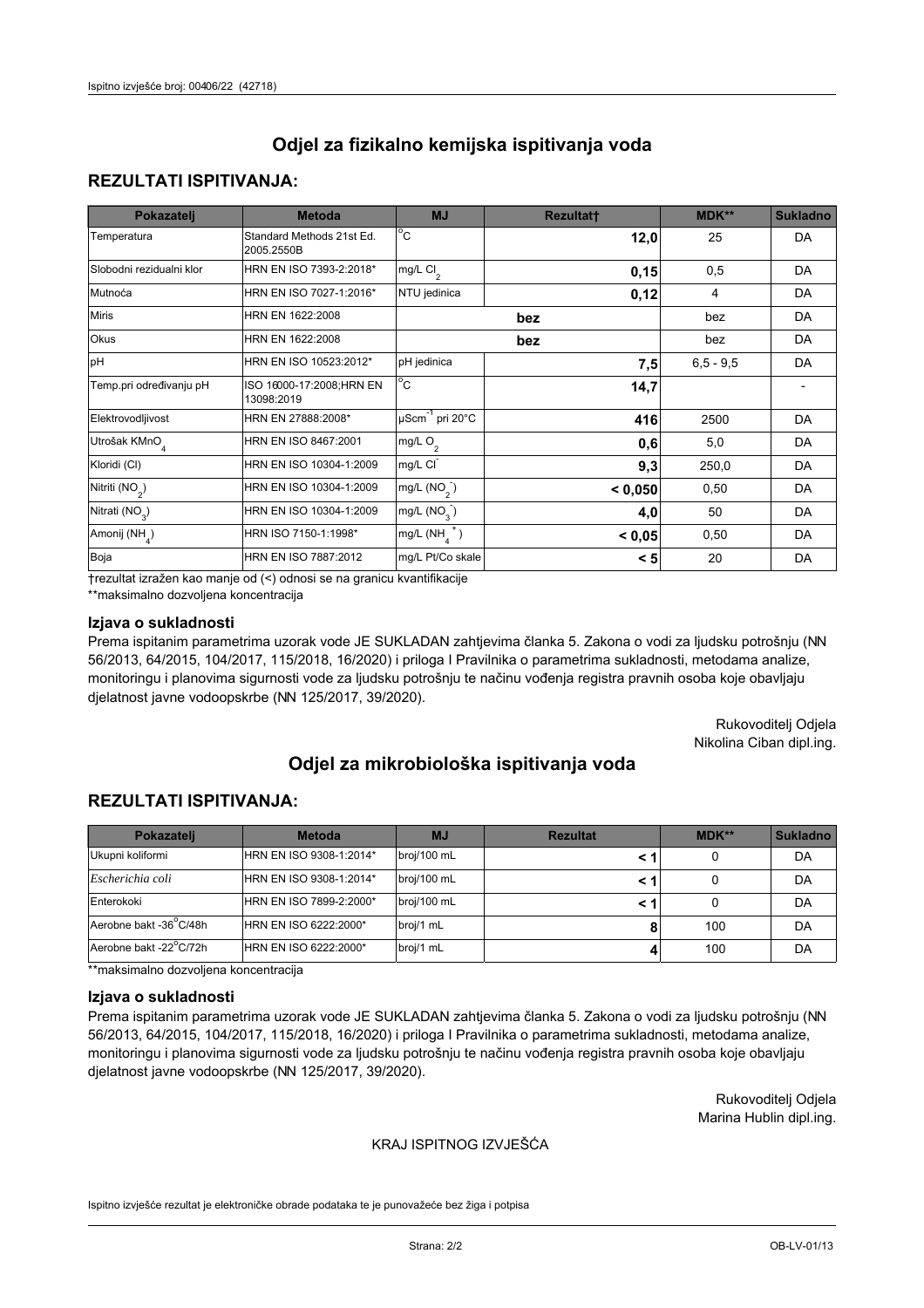## **REZULTATI ISPITIVANJA:**

| Pokazatelj                 | <b>Metoda</b>                           | <b>MJ</b>                                   | <b>Rezultatt</b> | MDK**       | <b>Sukladno</b> |
|----------------------------|-----------------------------------------|---------------------------------------------|------------------|-------------|-----------------|
| Temperatura                | Standard Methods 21st Ed.<br>2005.2550B | $^{\circ}$ C                                | 12,0             | 25          | DA              |
| Slobodni rezidualni klor   | HRN EN ISO 7393-2:2018*                 | mg/L Cl <sub>2</sub>                        | 0,15             | 0,5         | DA              |
| Mutnoća                    | HRN EN ISO 7027-1:2016*                 | NTU jedinica                                | 0,12             | 4           | DA              |
| <b>Miris</b>               | HRN EN 1622:2008                        |                                             | bez              | bez         | DA              |
| Okus                       | HRN EN 1622:2008                        |                                             | bez              | bez         | DA              |
| pH                         | HRN EN ISO 10523:2012*                  | pH jedinica                                 | 7,5              | $6,5 - 9,5$ | DA              |
| Temp.pri određivanju pH    | ISO 16000-17:2008;HRN EN<br>13098:2019  | $^{\circ}$ C                                | 14,7             |             |                 |
| Elektrovodljivost          | HRN EN 27888:2008*                      | $\overline{\mu}$ Scm <sup>-1</sup> pri 20°C | 416              | 2500        | DA              |
| Utrošak KMnO <sub>4</sub>  | HRN EN ISO 8467:2001                    | mg/L $O2$                                   | 0,6              | 5,0         | DA              |
| Kloridi (CI)               | HRN EN ISO 10304-1:2009                 | mg/L CI                                     | 9,3              | 250,0       | DA              |
| Nitriti (NO <sub>2</sub> ) | HRN EN ISO 10304-1:2009                 | mg/L $(NO2)$                                | < 0,050          | 0,50        | DA              |
| Nitrati (NO <sub>3</sub> ) | HRN EN ISO 10304-1:2009                 | mg/L $(NO3)$                                | 4,0              | 50          | DA              |
| Amonij (NH <sub>4</sub> )  | HRN ISO 7150-1:1998*                    | mg/L $(NH_a^+)$                             | < 0,05           | 0,50        | DA              |
| Boja                       | <b>HRN EN ISO 7887:2012</b>             | mg/L Pt/Co skale                            | < 5              | 20          | DA              |

†rezultat izražen kao manje od (<) odnosi se na granicu kvantifikacije

\*\*maksimalno dozvoljena koncentracija

#### Izjava o sukladnosti

Prema ispitanim parametrima uzorak vode JE SUKLADAN zahtievima članka 5. Zakona o vodi za ljudsku potrošnju (NN 56/2013, 64/2015, 104/2017, 115/2018, 16/2020) i priloga I Pravilnika o parametrima sukladnosti, metodama analize, monitoringu i planovima sigurnosti vode za ljudsku potrošnju te načinu vođenja registra pravnih osoba koje obavljaju djelatnost javne vodoopskrbe (NN 125/2017, 39/2020).

> Rukovoditelj Odjela Nikolina Ciban dipl.ing.

# Odjel za mikrobiološka ispitivanja voda

## **REZULTATI ISPITIVANJA:**

| <b>Pokazateli</b>      | <b>Metoda</b>           | <b>MJ</b>   | <b>Rezultat</b> | MDK** | <b>Sukladno</b> |
|------------------------|-------------------------|-------------|-----------------|-------|-----------------|
| Ukupni koliformi       | HRN EN ISO 9308-1:2014* | broj/100 mL |                 | 0     | DA              |
| Escherichia coli       | HRN EN ISO 9308-1:2014* | broj/100 mL | < 1             |       | DA              |
| Enterokoki             | HRN EN ISO 7899-2:2000* | broj/100 mL | < 1             | 0     | DA              |
| Aerobne bakt -36°C/48h | HRN EN ISO 6222:2000*   | broj/1 mL   |                 | 100   | DA              |
| Aerobne bakt -22°C/72h | HRN EN ISO 6222:2000*   | broj/1 mL   |                 | 100   | DA              |

\*\*maksimalno dozvoljena koncentracija

#### Izjava o sukladnosti

Prema ispitanim parametrima uzorak vode JE SUKLADAN zahtievima članka 5. Zakona o vodi za ljudsku potrošnju (NN 56/2013, 64/2015, 104/2017, 115/2018, 16/2020) i priloga I Pravilnika o parametrima sukladnosti, metodama analize, monitoringu i planovima sigurnosti vode za ljudsku potrošnju te načinu vođenja registra pravnih osoba koje obavljaju djelatnost javne vodoopskrbe (NN 125/2017, 39/2020).

> Rukovoditeli Odiela Marina Hublin dipl.ing.

### KRAJ ISPITNOG IZVJEŠĆA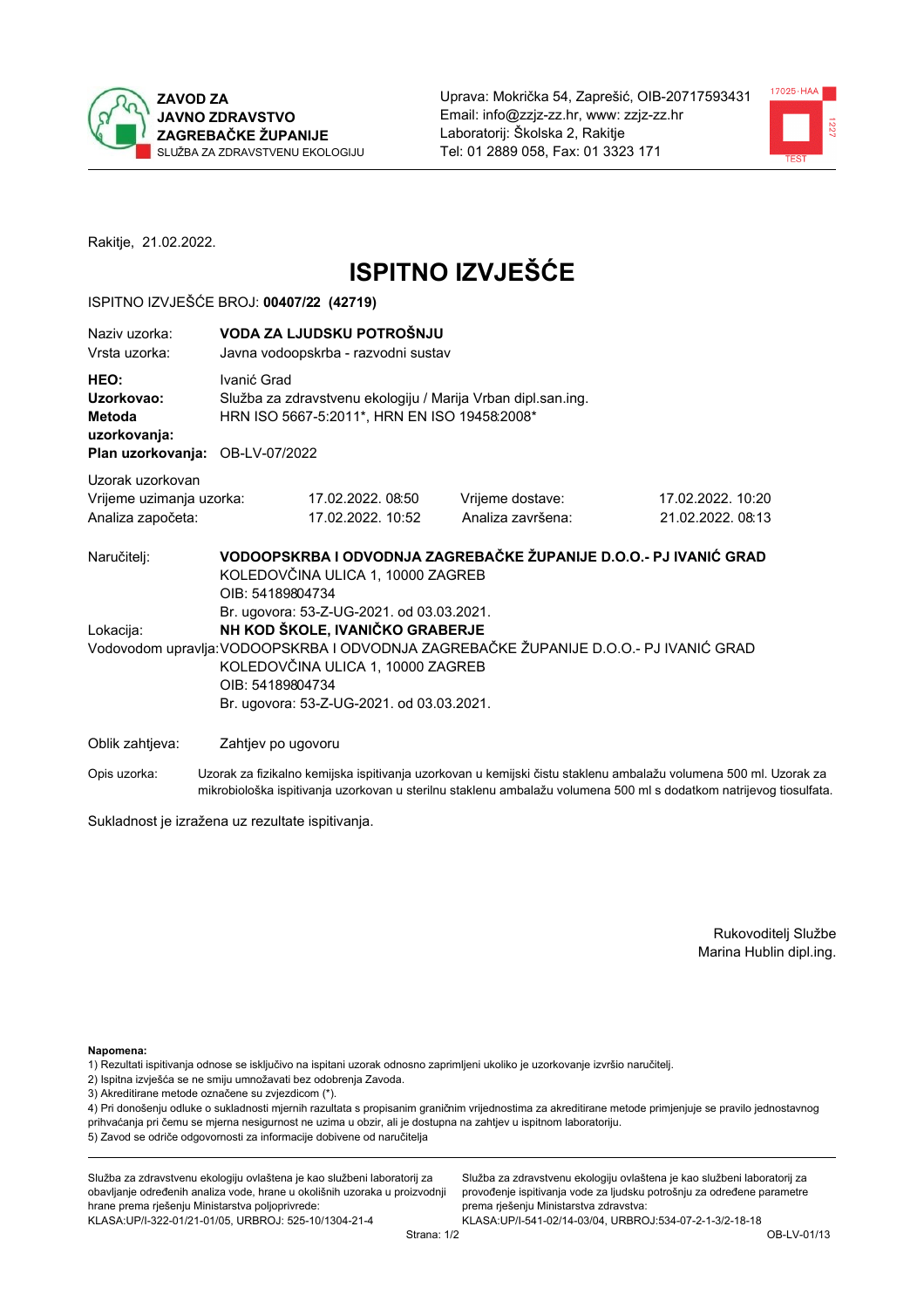



Rakitje, 21.02.2022.

# **ISPITNO IZVJEŠĆE**

## ISPITNO IZVJEŠĆE BROJ: 00407/22 (42719)

| Naziy uzorka:<br>Vrsta uzorka:                                                  | VODA ZA LJUDSKU POTROŠNJU<br>Javna vodoopskrba - razvodni sustav |                                                                                                                                                                                                                                                                                                                                          |                                       |                                       |  |  |
|---------------------------------------------------------------------------------|------------------------------------------------------------------|------------------------------------------------------------------------------------------------------------------------------------------------------------------------------------------------------------------------------------------------------------------------------------------------------------------------------------------|---------------------------------------|---------------------------------------|--|--|
| HEO:<br>Uzorkovao:<br>Metoda<br>uzorkovanja:<br>Plan uzorkovanja: OB-LV-07/2022 | Ivanić Grad                                                      | Služba za zdravstvenu ekologiju / Marija Vrban dipl.san.ing.<br>HRN ISO 5667-5:2011*, HRN EN ISO 19458:2008*                                                                                                                                                                                                                             |                                       |                                       |  |  |
| Uzorak uzorkovan<br>Vrijeme uzimanja uzorka:<br>Analiza započeta:               |                                                                  | 17.02.2022.08:50<br>17.02.2022. 10:52                                                                                                                                                                                                                                                                                                    | Vrijeme dostave:<br>Analiza završena: | 17.02.2022. 10:20<br>21.02.2022.08:13 |  |  |
| Naručitelj:<br>Lokacija:                                                        | OIB: 54189804734                                                 | VODOOPSKRBA I ODVODNJA ZAGREBAČKE ŽUPANIJE D.O.O.- PJ IVANIĆ GRAD<br>KOLEDOVČINA ULICA 1, 10000 ZAGREB<br>OIB: 54189804734<br>Br. ugovora: 53-Z-UG-2021. od 03.03.2021.<br>NH KOD ŠKOLE, IVANIČKO GRABERJE<br>Vodovodom upravlja: VODOOPSKRBA I ODVODNJA ZAGREBAČKE ŽUPANIJE D.O.O.- PJ IVANIĆ GRAD<br>KOLEDOVČINA ULICA 1, 10000 ZAGREB |                                       |                                       |  |  |
| Oblik zahtjeva:                                                                 | Zahtjev po ugovoru                                               | Br. ugovora: 53-Z-UG-2021. od 03.03.2021.                                                                                                                                                                                                                                                                                                |                                       |                                       |  |  |

Opis uzorka: Uzorak za fizikalno kemijska ispitivanja uzorkovan u kemijski čistu staklenu ambalažu volumena 500 ml. Uzorak za mikrobiološka ispitivanja uzorkovan u sterilnu staklenu ambalažu volumena 500 ml s dodatkom natrijevog tiosulfata.

Sukladnost je izražena uz rezultate ispitivanja.

Rukovoditelj Službe Marina Hublin dipl.ing.

Napomena:

- 1) Rezultati ispitivanja odnose se isključivo na ispitani uzorak odnosno zaprimljeni ukoliko je uzorkovanje izvršio naručitelj.
- 2) Ispitna izvješća se ne smiju umnožavati bez odobrenja Zavoda.
- 3) Akreditirane metode označene su zvjezdicom (\*).

4) Pri donošenju odluke o sukladnosti mjernih razultata s propisanim graničnim vrijednostima za akreditirane metode primjenjuje se pravilo jednostavnog prihvaćanja pri čemu se mjerna nesigurnost ne uzima u obzir, ali je dostupna na zahtjev u ispitnom laboratoriju. 5) Zavod se odriče odgovornosti za informacije dobivene od naručitelja

Služba za zdravstvenu ekologiju ovlaštena je kao službeni laboratorij za obavljanje određenih analiza vode, hrane u okolišnih uzoraka u proizvodnji hrane prema rješenju Ministarstva poljoprivrede: KLASA.UP/I-322-01/21-01/05, URBROJ: 525-10/1304-21-4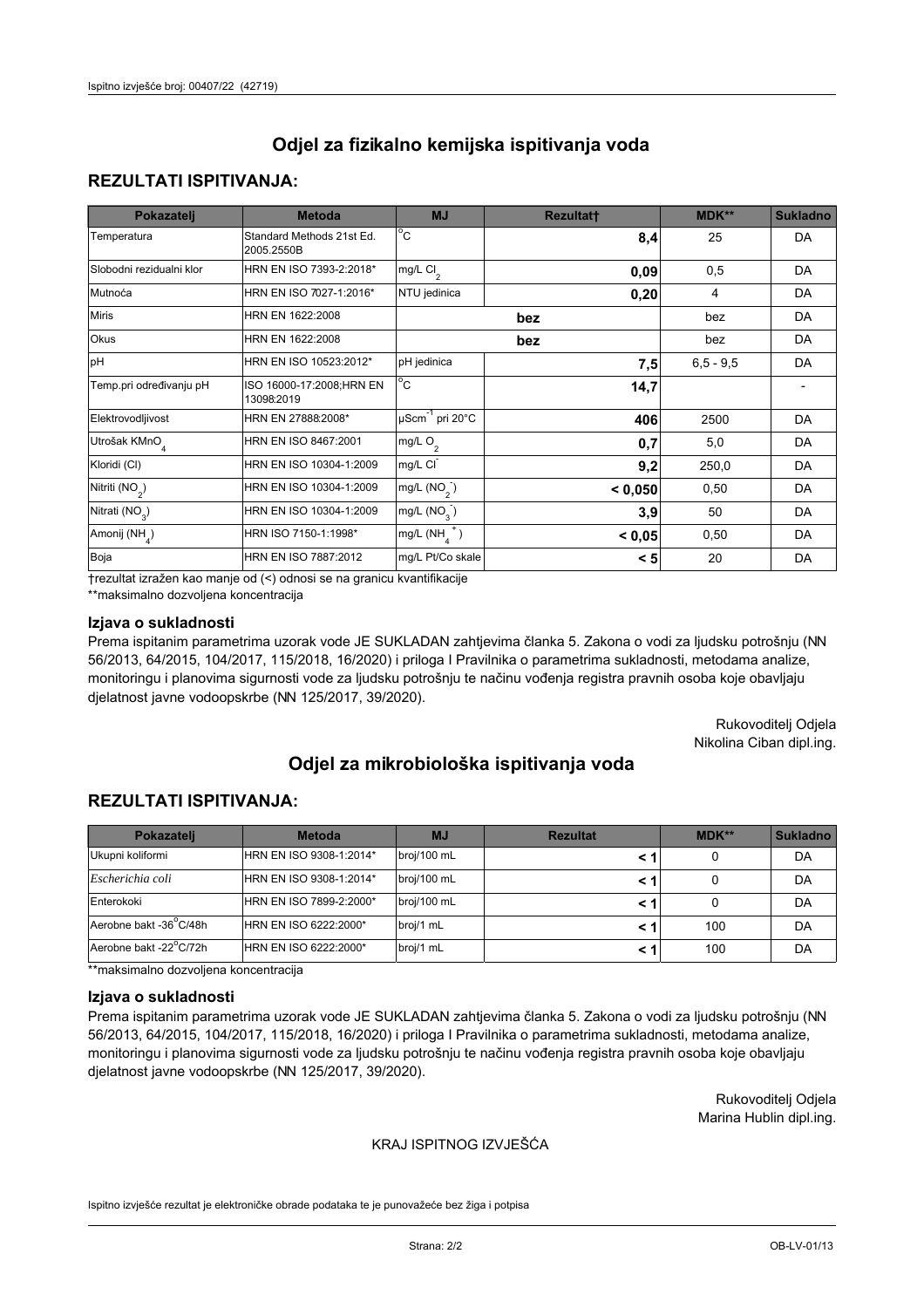## **REZULTATI ISPITIVANJA:**

| Pokazatelj                 | <b>Metoda</b>                           | <b>MJ</b>                        | <b>Rezultatt</b> | <b>MDK**</b> | <b>Sukladno</b> |
|----------------------------|-----------------------------------------|----------------------------------|------------------|--------------|-----------------|
| Temperatura                | Standard Methods 21st Ed.<br>2005.2550B | $^{\circ}$ C                     | 8,4              | 25           | DA              |
| Slobodni rezidualni klor   | HRN EN ISO 7393-2:2018*                 | mg/L $Cl_2$                      | 0,09             | 0,5          | DA              |
| Mutnoća                    | HRN EN ISO 7027-1:2016*                 | NTU jedinica                     | 0,20             | 4            | DA              |
| <b>Miris</b>               | HRN EN 1622:2008                        |                                  | bez              | bez          | DA              |
| Okus                       | HRN EN 1622:2008                        |                                  | bez              | bez          | DA              |
| pH                         | HRN EN ISO 10523:2012*                  | pH jedinica                      | 7,5              | $6,5 - 9,5$  | DA              |
| Temp.pri određivanju pH    | ISO 16000-17:2008;HRN EN<br>13098:2019  | $^{\circ}$ C                     | 14,7             |              |                 |
| Elektrovodljivost          | HRN EN 27888:2008*                      | $\mu$ Scm <sup>-1</sup> pri 20°C | 406              | 2500         | DA              |
| Utrošak KMnO <sub>4</sub>  | HRN EN ISO 8467:2001                    | mg/L O <sub>2</sub>              | 0,7              | 5,0          | DA              |
| Kloridi (CI)               | HRN EN ISO 10304-1:2009                 | mg/L CI                          | 9,2              | 250,0        | DA              |
| Nitriti (NO <sub>2</sub> ) | HRN EN ISO 10304-1:2009                 | mg/L $(NO2)$                     | < 0,050          | 0,50         | DA              |
| Nitrati (NO <sub>3</sub> ) | HRN EN ISO 10304-1:2009                 | mg/L (NO <sub>3</sub> )          | 3,9              | 50           | DA              |
| Amonij (NH <sub>4</sub> )  | HRN ISO 7150-1:1998*                    | mg/L $(NH_a^+)$                  | < 0,05           | 0,50         | DA              |
| Boja                       | HRN EN ISO 7887:2012                    | mg/L Pt/Co skale                 | < 5              | 20           | DA              |

†rezultat izražen kao manje od (<) odnosi se na granicu kvantifikacije

\*\*maksimalno dozvoljena koncentracija

#### Izjava o sukladnosti

Prema ispitanim parametrima uzorak vode JE SUKLADAN zahtievima članka 5. Zakona o vodi za ljudsku potrošnju (NN 56/2013, 64/2015, 104/2017, 115/2018, 16/2020) i priloga I Pravilnika o parametrima sukladnosti, metodama analize, monitoringu i planovima sigurnosti vode za ljudsku potrošnju te načinu vođenja registra pravnih osoba koje obavljaju djelatnost javne vodoopskrbe (NN 125/2017, 39/2020).

> Rukovoditelj Odjela Nikolina Ciban dipl.ing.

# Odjel za mikrobiološka ispitivanja voda

## **REZULTATI ISPITIVANJA:**

| <b>Pokazateli</b>      | <b>Metoda</b>           | <b>MJ</b>   | <b>Rezultat</b> | MDK** | <b>Sukladno</b> |
|------------------------|-------------------------|-------------|-----------------|-------|-----------------|
| Ukupni koliformi       | HRN EN ISO 9308-1:2014* | broj/100 mL |                 | 0     | DA              |
| Escherichia coli       | HRN EN ISO 9308-1:2014* | broj/100 mL | < 1             | 0     | DA              |
| Enterokoki             | HRN EN ISO 7899-2:2000* | broj/100 mL | < 1             | 0     | DA              |
| Aerobne bakt -36°C/48h | HRN EN ISO 6222:2000*   | broj/1 mL   |                 | 100   | DA              |
| Aerobne bakt -22°C/72h | HRN EN ISO 6222:2000*   | broj/1 mL   |                 | 100   | DA              |

\*\*maksimalno dozvoljena koncentracija

#### Izjava o sukladnosti

Prema ispitanim parametrima uzorak vode JE SUKLADAN zahtievima članka 5. Zakona o vodi za ljudsku potrošnju (NN 56/2013, 64/2015, 104/2017, 115/2018, 16/2020) i priloga I Pravilnika o parametrima sukladnosti, metodama analize, monitoringu i planovima sigurnosti vode za ljudsku potrošnju te načinu vođenja registra pravnih osoba koje obavljaju djelatnost javne vodoopskrbe (NN 125/2017, 39/2020).

> Rukovoditeli Odiela Marina Hublin dipl.ing.

### KRAJ ISPITNOG IZVJEŠĆA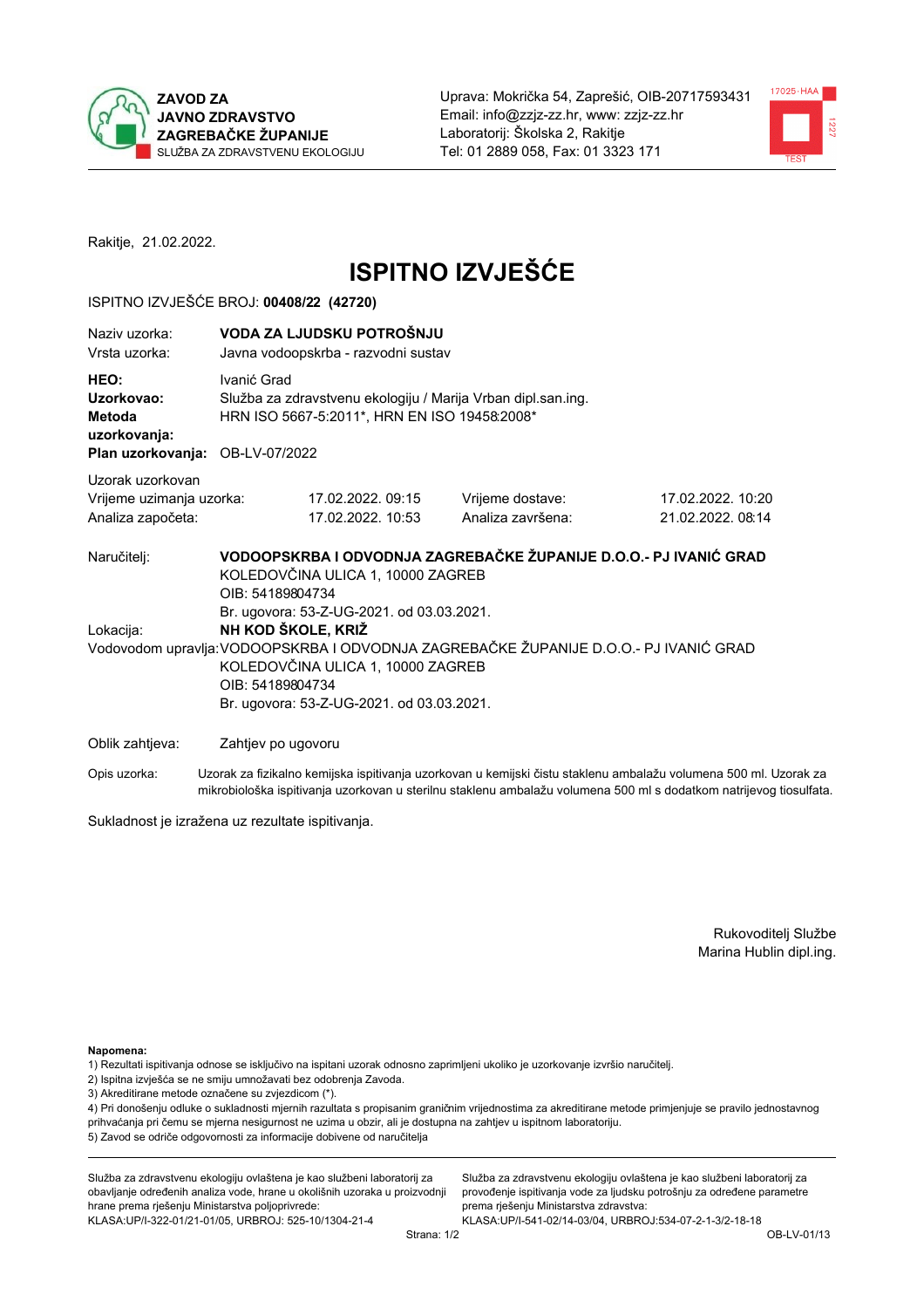



Rakitje, 21.02.2022.

# **ISPITNO IZVJEŠĆE**

## ISPITNO IZVJEŠĆE BROJ: 00408/22 (42720)

| Naziv uzorka:<br>Vrsta uzorka:                                                  | VODA ZA LJUDSKU POTROŠNJU<br>Javna vodoopskrba - razvodni sustav                                                                                                                                                                                                                                                                                                                             |                                       |                                                                                                                  |  |  |
|---------------------------------------------------------------------------------|----------------------------------------------------------------------------------------------------------------------------------------------------------------------------------------------------------------------------------------------------------------------------------------------------------------------------------------------------------------------------------------------|---------------------------------------|------------------------------------------------------------------------------------------------------------------|--|--|
| HEO:<br>Uzorkovao:<br>Metoda<br>uzorkovanja:<br>Plan uzorkovanja: OB-LV-07/2022 | Ivanić Grad<br>Služba za zdravstvenu ekologiju / Marija Vrban dipl.san.ing.<br>HRN ISO 5667-5:2011*, HRN EN ISO 19458:2008*                                                                                                                                                                                                                                                                  |                                       |                                                                                                                  |  |  |
|                                                                                 |                                                                                                                                                                                                                                                                                                                                                                                              |                                       |                                                                                                                  |  |  |
| Uzorak uzorkovan<br>Vrijeme uzimanja uzorka:<br>Analiza započeta:               | 17.02.2022.09:15<br>17.02.2022. 10:53                                                                                                                                                                                                                                                                                                                                                        | Vrijeme dostave:<br>Analiza završena: | 17.02.2022. 10:20<br>21.02.2022.08:14                                                                            |  |  |
| Naručitelj:<br>Lokacija:                                                        | VODOOPSKRBA I ODVODNJA ZAGREBAČKE ŽUPANIJE D.O.O.- PJ IVANIĆ GRAD<br>KOLEDOVČINA ULICA 1, 10000 ZAGREB<br>OIB: 54189804734<br>Br. ugovora: 53-Z-UG-2021. od 03.03.2021.<br>NH KOD ŠKOLE, KRIŽ<br>Vodovodom upravlja: VODOOPSKRBA I ODVODNJA ZAGREBAČKE ŽUPANIJE D.O.O.- PJ IVANIĆ GRAD<br>KOLEDOVČINA ULICA 1, 10000 ZAGREB<br>OIB: 54189804734<br>Br. ugovora: 53-Z-UG-2021. od 03.03.2021. |                                       |                                                                                                                  |  |  |
| Oblik zahtjeva:                                                                 | Zahtjev po ugovoru                                                                                                                                                                                                                                                                                                                                                                           |                                       |                                                                                                                  |  |  |
| Opis uzorka:                                                                    |                                                                                                                                                                                                                                                                                                                                                                                              |                                       | Uzorak za fizikalno kemijska ispitivanja uzorkovan u kemijski čistu staklenu ambalažu volumena 500 ml. Uzorak za |  |  |

Sukladnost je izražena uz rezultate ispitivanja.

Rukovoditelj Službe Marina Hublin dipl.ing.

#### Napomena:

- 1) Rezultati ispitivanja odnose se isključivo na ispitani uzorak odnosno zaprimljeni ukoliko je uzorkovanje izvršio naručitelj.
- 2) Ispitna izvješća se ne smiju umnožavati bez odobrenja Zavoda.
- 3) Akreditirane metode označene su zvjezdicom (\*).

4) Pri donošenju odluke o sukladnosti mjernih razultata s propisanim graničnim vrijednostima za akreditirane metode primjenjuje se pravilo jednostavnog prihvaćanja pri čemu se mjerna nesigurnost ne uzima u obzir, ali je dostupna na zahtjev u ispitnom laboratoriju. 5) Zavod se odriče odgovornosti za informacije dobivene od naručitelja

mikrobiološka ispitivanja uzorkovan u sterilnu staklenu ambalažu volumena 500 ml s dodatkom natrijevog tiosulfata.

Služba za zdravstvenu ekologiju ovlaštena je kao službeni laboratorij za obavljanje određenih analiza vode, hrane u okolišnih uzoraka u proizvodnji hrane prema rješenju Ministarstva poljoprivrede: KLASA.UP/I-322-01/21-01/05, URBROJ: 525-10/1304-21-4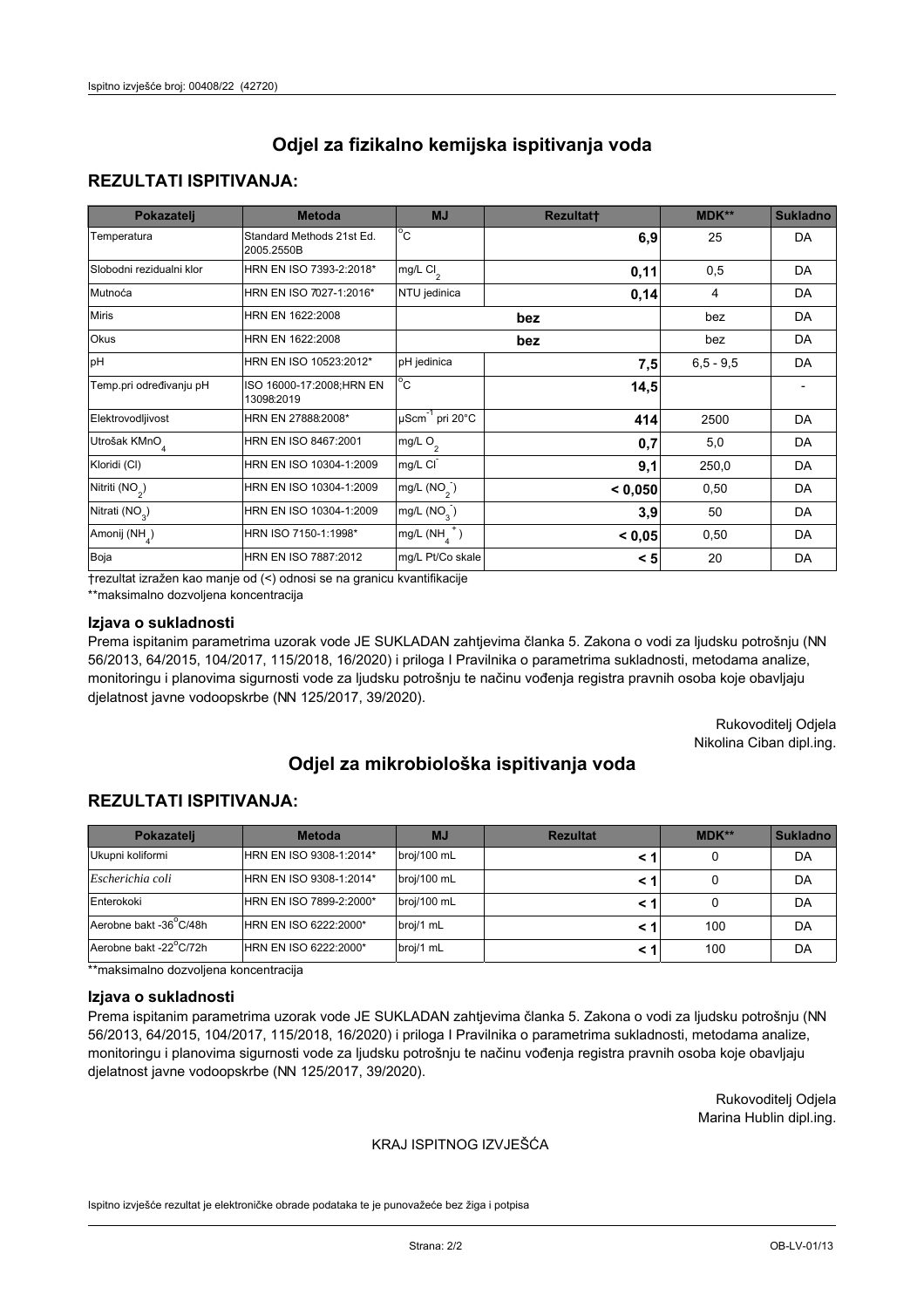## **REZULTATI ISPITIVANJA:**

| Pokazatelj                 | <b>Metoda</b>                           | <b>MJ</b>                                   | <b>Rezultatt</b> | MDK**       | <b>Sukladno</b> |
|----------------------------|-----------------------------------------|---------------------------------------------|------------------|-------------|-----------------|
| Temperatura                | Standard Methods 21st Ed.<br>2005.2550B | $^{\circ}$ C                                | 6,9              | 25          | DA              |
| Slobodni rezidualni klor   | HRN EN ISO 7393-2:2018*                 | mg/L Cl <sub>2</sub>                        | 0,11             | 0,5         | DA              |
| Mutnoća                    | HRN EN ISO 7027-1:2016*                 | NTU jedinica                                | 0,14             | 4           | DA              |
| <b>Miris</b>               | HRN EN 1622:2008                        |                                             | bez              | bez         | DA              |
| Okus                       | HRN EN 1622:2008                        |                                             | bez              | bez         | DA              |
| pH                         | HRN EN ISO 10523:2012*                  | pH jedinica                                 | 7,5              | $6,5 - 9,5$ | DA              |
| Temp.pri određivanju pH    | ISO 16000-17:2008;HRN EN<br>13098:2019  | $^{\circ}$ C                                | 14,5             |             |                 |
| Elektrovodljivost          | HRN EN 27888:2008*                      | $\overline{\mu}$ Scm <sup>-1</sup> pri 20°C | 414              | 2500        | DA              |
| Utrošak KMnO <sub>4</sub>  | HRN EN ISO 8467:2001                    | mg/L $O2$                                   | 0,7              | 5,0         | DA              |
| Kloridi (CI)               | HRN EN ISO 10304-1:2009                 | mg/L CI                                     | 9,1              | 250,0       | DA              |
| Nitriti (NO <sub>2</sub> ) | HRN EN ISO 10304-1:2009                 | mg/L $(NO2)$                                | < 0,050          | 0,50        | DA              |
| Nitrati (NO <sub>3</sub> ) | HRN EN ISO 10304-1:2009                 | mg/L $(NO3)$                                | 3,9              | 50          | DA              |
| Amonij (NH <sub>4</sub> )  | HRN ISO 7150-1:1998*                    | mg/L $(NH_a^+)$                             | < 0,05           | 0,50        | DA              |
| Boja                       | <b>HRN EN ISO 7887:2012</b>             | mg/L Pt/Co skale                            | < 5              | 20          | DA              |

†rezultat izražen kao manje od (<) odnosi se na granicu kvantifikacije

\*\*maksimalno dozvoljena koncentracija

#### Izjava o sukladnosti

Prema ispitanim parametrima uzorak vode JE SUKLADAN zahtievima članka 5. Zakona o vodi za ljudsku potrošnju (NN 56/2013, 64/2015, 104/2017, 115/2018, 16/2020) i priloga I Pravilnika o parametrima sukladnosti, metodama analize, monitoringu i planovima sigurnosti vode za ljudsku potrošnju te načinu vođenja registra pravnih osoba koje obavljaju djelatnost javne vodoopskrbe (NN 125/2017, 39/2020).

> Rukovoditelj Odjela Nikolina Ciban dipl.ing.

# Odjel za mikrobiološka ispitivanja voda

## **REZULTATI ISPITIVANJA:**

| <b>Pokazateli</b>      | <b>Metoda</b>           | <b>MJ</b>   | <b>Rezultat</b> | MDK** | <b>Sukladno</b> |
|------------------------|-------------------------|-------------|-----------------|-------|-----------------|
| Ukupni koliformi       | HRN EN ISO 9308-1:2014* | broj/100 mL |                 | 0     | DA              |
| Escherichia coli       | HRN EN ISO 9308-1:2014* | broj/100 mL | < 1             | 0     | DA              |
| Enterokoki             | HRN EN ISO 7899-2:2000* | broj/100 mL | < 1             | 0     | DA              |
| Aerobne bakt -36°C/48h | HRN EN ISO 6222:2000*   | broj/1 mL   |                 | 100   | DA              |
| Aerobne bakt -22°C/72h | HRN EN ISO 6222:2000*   | broj/1 mL   |                 | 100   | DA              |

\*\*maksimalno dozvoljena koncentracija

#### Izjava o sukladnosti

Prema ispitanim parametrima uzorak vode JE SUKLADAN zahtievima članka 5. Zakona o vodi za ljudsku potrošnju (NN 56/2013, 64/2015, 104/2017, 115/2018, 16/2020) i priloga I Pravilnika o parametrima sukladnosti, metodama analize, monitoringu i planovima sigurnosti vode za ljudsku potrošnju te načinu vođenja registra pravnih osoba koje obavljaju djelatnost javne vodoopskrbe (NN 125/2017, 39/2020).

> Rukovoditeli Odiela Marina Hublin dipl.ing.

### KRAJ ISPITNOG IZVJEŠĆA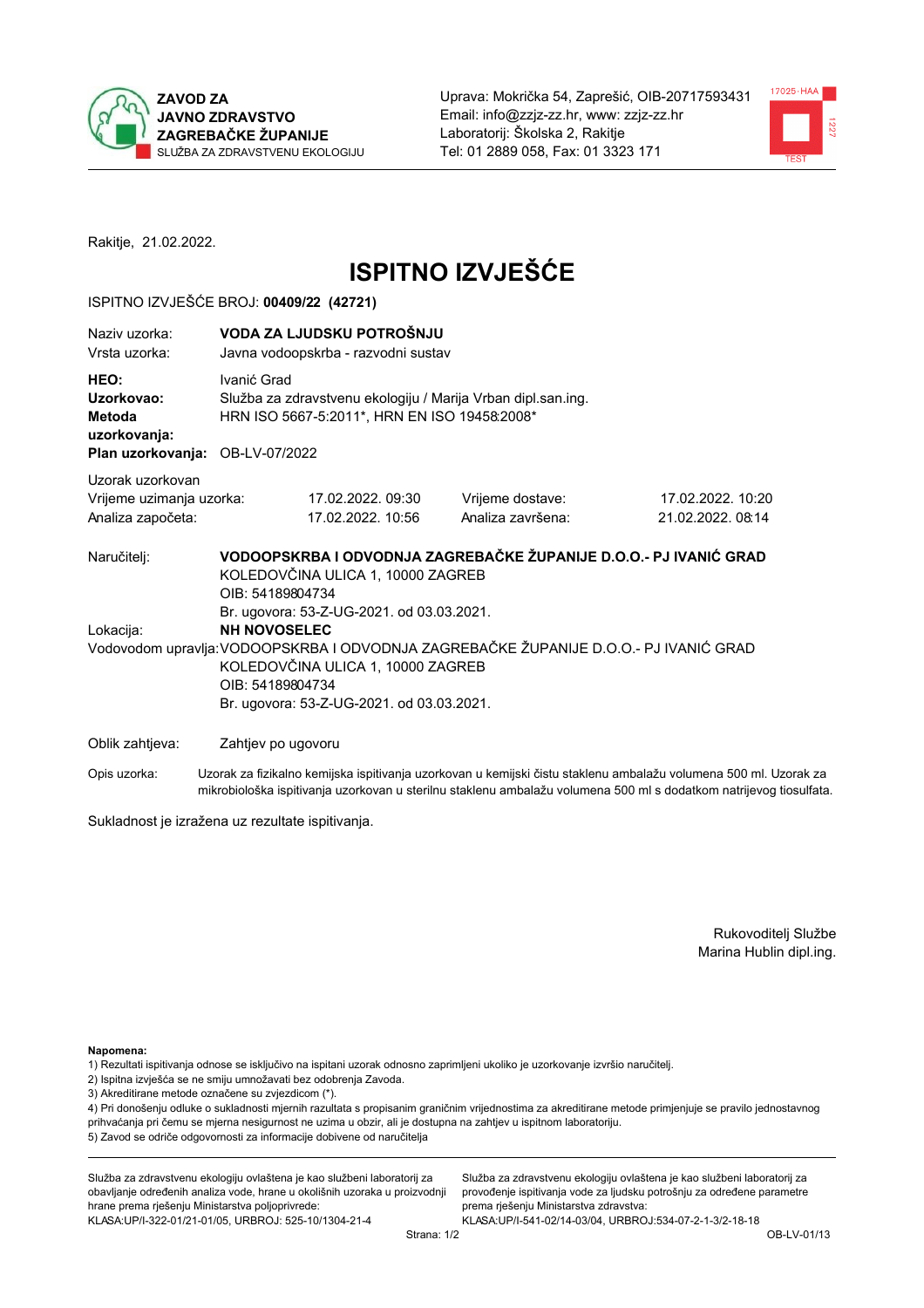



Rakitje, 21.02.2022.

# **ISPITNO IZVJEŠĆE**

## ISPITNO IZVJEŠĆE BROJ: 00409/22 (42721)

| Naziv uzorka:<br>Vrsta uzorka:                                                                                                                                                                                                                                               |                    | VODA ZA LJUDSKU POTROŠNJU<br>Javna vodoopskrba - razvodni sustav                                             |                                                                                                                                                                                                                                |                                       |  |  |
|------------------------------------------------------------------------------------------------------------------------------------------------------------------------------------------------------------------------------------------------------------------------------|--------------------|--------------------------------------------------------------------------------------------------------------|--------------------------------------------------------------------------------------------------------------------------------------------------------------------------------------------------------------------------------|---------------------------------------|--|--|
| HEO:<br>Uzorkovao:<br>Metoda<br>uzorkovanja:<br>Plan uzorkovanja: OB-LV-07/2022                                                                                                                                                                                              | Ivanić Grad        | Služba za zdravstvenu ekologiju / Marija Vrban dipl.san.ing.<br>HRN ISO 5667-5:2011*, HRN EN ISO 19458:2008* |                                                                                                                                                                                                                                |                                       |  |  |
|                                                                                                                                                                                                                                                                              |                    |                                                                                                              |                                                                                                                                                                                                                                |                                       |  |  |
| Uzorak uzorkovan<br>Vrijeme uzimanja uzorka:<br>Analiza započeta:                                                                                                                                                                                                            |                    | 17.02.2022.09:30<br>17.02.2022. 10:56                                                                        | Vrijeme dostave:<br>Analiza završena:                                                                                                                                                                                          | 17.02.2022. 10:20<br>21.02.2022.08:14 |  |  |
| Naručitelj:                                                                                                                                                                                                                                                                  | OIB: 54189804734   | KOLEDOVČINA ULICA 1, 10000 ZAGREB                                                                            | VODOOPSKRBA I ODVODNJA ZAGREBAČKE ŽUPANIJE D.O.O.- PJ IVANIĆ GRAD                                                                                                                                                              |                                       |  |  |
| Br. ugovora: 53-Z-UG-2021. od 03.03.2021.<br><b>NH NOVOSELEC</b><br>Lokacija:<br>Vodovodom upravlja: VODOOPSKRBA I ODVODNJA ZAGREBAČKE ŽUPANIJE D.O.O.- PJ IVANIĆ GRAD<br>KOLEDOVČINA ULICA 1, 10000 ZAGREB<br>OIB: 54189804734<br>Br. ugovora: 53-Z-UG-2021. od 03.03.2021. |                    |                                                                                                              |                                                                                                                                                                                                                                |                                       |  |  |
| Oblik zahtjeva:                                                                                                                                                                                                                                                              | Zahtjev po ugovoru |                                                                                                              |                                                                                                                                                                                                                                |                                       |  |  |
|                                                                                                                                                                                                                                                                              |                    |                                                                                                              | Onis consider in the following the consideration in the context of the consideration of the consideration of the constant of the constant of the constant of the constant of the constant of the constant of the constant of t |                                       |  |  |

Opis uzorka: Uzorak za fizikalno kemijska ispitivanja uzorkovan u kemijski čistu staklenu ambalažu volumena 500 ml. Uzorak za mikrobiološka ispitivanja uzorkovan u sterilnu staklenu ambalažu volumena 500 ml s dodatkom natrijevog tiosulfata.

Sukladnost je izražena uz rezultate ispitivanja.

Rukovoditelj Službe Marina Hublin dipl.ing.

Napomena:

- 1) Rezultati ispitivanja odnose se isključivo na ispitani uzorak odnosno zaprimljeni ukoliko je uzorkovanje izvršio naručitelj.
- 2) Ispitna izvješća se ne smiju umnožavati bez odobrenja Zavoda.
- 3) Akreditirane metode označene su zvjezdicom (\*).

4) Pri donošenju odluke o sukladnosti mjernih razultata s propisanim graničnim vrijednostima za akreditirane metode primjenjuje se pravilo jednostavnog prihvaćanja pri čemu se mjerna nesigurnost ne uzima u obzir, ali je dostupna na zahtjev u ispitnom laboratoriju. 5) Zavod se odriče odgovornosti za informacije dobivene od naručitelja

Služba za zdravstvenu ekologiju ovlaštena je kao službeni laboratorij za obavljanje određenih analiza vode, hrane u okolišnih uzoraka u proizvodnji hrane prema rješenju Ministarstva poljoprivrede: KLASA: UP/I-322-01/21-01/05, URBROJ: 525-10/1304-21-4